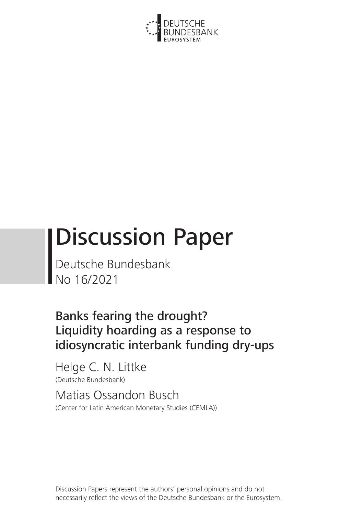

# Discussion Paper

Deutsche Bundesbank No 16/2021

Banks fearing the drought? Liquidity hoarding as a response to idiosyncratic interbank funding dry-ups

Helge C. N. Littke (Deutsche Bundesbank)

Matias Ossandon Busch (Center for Latin American Monetary Studies (CEMLA))

Discussion Papers represent the authors' personal opinions and do not necessarily reflect the views of the Deutsche Bundesbank or the Eurosystem.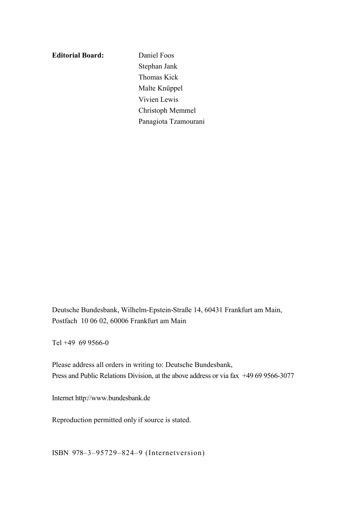#### **Editorial Board:** Daniel Foos

Stephan Jank Thomas Kick Malte Knüppel Vivien Lewis Christoph Memmel Panagiota Tzamourani

Deutsche Bundesbank, Wilhelm-Epstein-Straße 14, 60431 Frankfurt am Main, Postfach 10 06 02, 60006 Frankfurt am Main

Tel +49 69 9566-0

Please address all orders in writing to: Deutsche Bundesbank, Press and Public Relations Division, at the above address or via fax +49 69 9566-3077

Internet http://www.bundesbank.de

Reproduction permitted only if source is stated.

ISBN 978–3–95729–824–9 (Internetversion)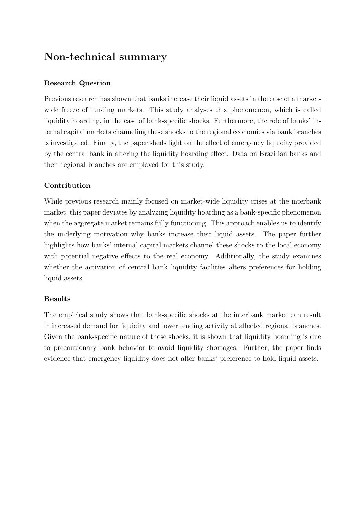# Non-technical summary

#### Research Question

Previous research has shown that banks increase their liquid assets in the case of a marketwide freeze of funding markets. This study analyses this phenomenon, which is called liquidity hoarding, in the case of bank-specific shocks. Furthermore, the role of banks' internal capital markets channeling these shocks to the regional economies via bank branches is investigated. Finally, the paper sheds light on the effect of emergency liquidity provided by the central bank in altering the liquidity hoarding effect. Data on Brazilian banks and their regional branches are employed for this study.

#### Contribution

While previous research mainly focused on market-wide liquidity crises at the interbank market, this paper deviates by analyzing liquidity hoarding as a bank-specific phenomenon when the aggregate market remains fully functioning. This approach enables us to identify the underlying motivation why banks increase their liquid assets. The paper further highlights how banks' internal capital markets channel these shocks to the local economy with potential negative effects to the real economy. Additionally, the study examines whether the activation of central bank liquidity facilities alters preferences for holding liquid assets.

#### Results

The empirical study shows that bank-specific shocks at the interbank market can result in increased demand for liquidity and lower lending activity at affected regional branches. Given the bank-specific nature of these shocks, it is shown that liquidity hoarding is due to precautionary bank behavior to avoid liquidity shortages. Further, the paper finds evidence that emergency liquidity does not alter banks' preference to hold liquid assets.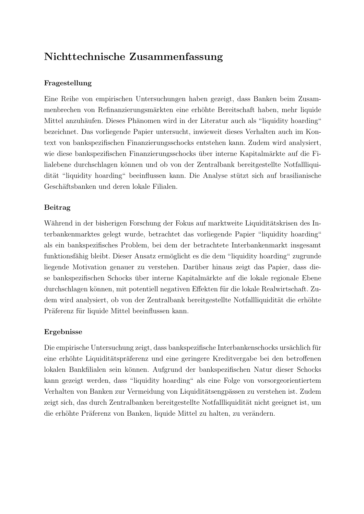# Nichttechnische Zusammenfassung

#### Fragestellung

Eine Reihe von empirischen Untersuchungen haben gezeigt, dass Banken beim Zusammenbrechen von Refinanzierungsmärkten eine erhöhte Bereitschaft haben, mehr liquide Mittel anzuhäufen. Dieses Phänomen wird in der Literatur auch als "liquidity hoarding" bezeichnet. Das vorliegende Papier untersucht, inwieweit dieses Verhalten auch im Kontext von bankspezifischen Finanzierungsschocks entstehen kann. Zudem wird analysiert, wie diese bankspezifischen Finanzierungsschocks über interne Kapitalmärkte auf die Filialebene durchschlagen können und ob von der Zentralbank bereitgestellte Notfallliquidität "liquidity hoarding" beeinflussen kann. Die Analyse stützt sich auf brasilianische Geschäftsbanken und deren lokale Filialen.

#### Beitrag

Während in der bisherigen Forschung der Fokus auf marktweite Liquiditätskrisen des Interbankenmarktes gelegt wurde, betrachtet das vorliegende Papier "liquidity hoarding" als ein bankspezifisches Problem, bei dem der betrachtete Interbankenmarkt insgesamt funktionsfähig bleibt. Dieser Ansatz ermöglicht es die dem "liquidity hoarding" zugrunde liegende Motivation genauer zu verstehen. Darüber hinaus zeigt das Papier, dass diese bankspezifischen Schocks über interne Kapitalmärkte auf die lokale regionale Ebene durchschlagen können, mit potentiell negativen Effekten für die lokale Realwirtschaft. Zudem wird analysiert, ob von der Zentralbank bereitgestellte Notfallliquidität die erhöhte Präferenz für liquide Mittel beeinflussen kann.

#### Ergebnisse

Die empirische Untersuchung zeigt, dass bankspezifische Interbankenschocks ursächlich für eine erhöhte Liquiditätspräferenz und eine geringere Kreditvergabe bei den betroffenen lokalen Bankfilialen sein k¨onnen. Aufgrund der bankspezifischen Natur dieser Schocks kann gezeigt werden, dass "liquidity hoarding" als eine Folge von vorsorgeorientiertem Verhalten von Banken zur Vermeidung von Liquiditätsengpässen zu verstehen ist. Zudem zeigt sich, das durch Zentralbanken bereitgestellte Notfallliquidität nicht geeignet ist, um die erhöhte Präferenz von Banken, liquide Mittel zu halten, zu verändern.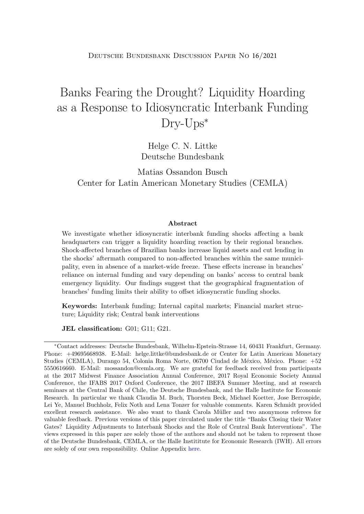Deutsche Bundesbank Discussion Paper No 16/2021

# Banks Fearing the Drought? Liquidity Hoarding as a Response to Idiosyncratic Interbank Funding Dry-Ups<sup>∗</sup>

Helge C. N. Littke Deutsche Bundesbank

Matias Ossandon Busch Center for Latin American Monetary Studies (CEMLA)

#### Abstract

We investigate whether idiosyncratic interbank funding shocks affecting a bank headquarters can trigger a liquidity hoarding reaction by their regional branches. Shock-affected branches of Brazilian banks increase liquid assets and cut lending in the shocks' aftermath compared to non-affected branches within the same municipality, even in absence of a market-wide freeze. These effects increase in branches' reliance on internal funding and vary depending on banks' access to central bank emergency liquidity. Our findings suggest that the geographical fragmentation of branches' funding limits their ability to offset idiosyncratic funding shocks.

Keywords: Interbank funding; Internal capital markets; Financial market structure; Liquidity risk; Central bank interventions

JEL classification: G01; G11; G21.

<sup>∗</sup>Contact addresses: Deutsche Bundesbank, Wilhelm-Epstein-Strasse 14, 60431 Frankfurt, Germany. Phone: +49695668938. E-Mail: helge.littke@bundesbank.de or Center for Latin American Monetary Studies (CEMLA), Durango 54, Colonia Roma Norte, 06700 Ciudad de México, México. Phone: +52 5550616660. E-Mail: mossandon@cemla.org. We are grateful for feedback received from participants at the 2017 Midwest Finance Association Annual Conference, 2017 Royal Economic Society Annual Conference, the IFABS 2017 Oxford Conference, the 2017 IBEFA Summer Meeting, and at research seminars at the Central Bank of Chile, the Deutsche Bundesbank, and the Halle Institute for Economic Research. In particular we thank Claudia M. Buch, Thorsten Beck, Michael Koetter, Jose Berrospide, Lei Ye, Manuel Buchholz, Felix Noth and Lena Tonzer for valuable comments. Karen Schmidt provided excellent research assistance. We also want to thank Carola Müller and two anonymous referees for valuable feedback. Previous versions of this paper circulated under the title "Banks Closing their Water Gates? Liquidity Adjustments to Interbank Shocks and the Role of Central Bank Interventions". The views expressed in this paper are solely those of the authors and should not be taken to represent those of the Deutsche Bundesbank, CEMLA, or the Halle Instititute for Economic Research (IWH). All errors are solely of our own responsibility. Online Appendix [here.](https://ossandon-busch.weebly.com/research.html)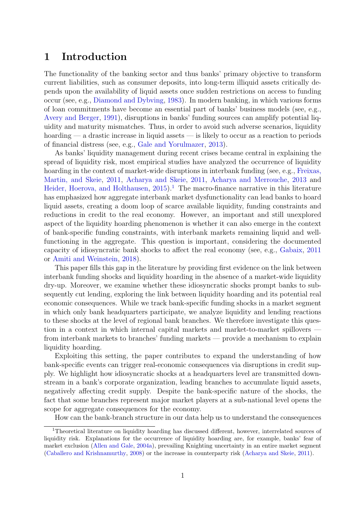# 1 Introduction

The functionality of the banking sector and thus banks' primary objective to transform current liabilities, such as consumer deposits, into long-term illiquid assets critically depends upon the availability of liquid assets once sudden restrictions on access to funding occur (see, e.g., [Diamond and Dybving,](#page-37-0) [1983\)](#page-37-0). In modern banking, in which various forms of loan commitments have become an essential part of banks' business models (see, e.g., [Avery and Berger,](#page-35-0) [1991\)](#page-35-0), disruptions in banks' funding sources can amplify potential liquidity and maturity mismatches. Thus, in order to avoid such adverse scenarios, liquidity hoarding — a drastic increase in liquid assets — is likely to occur as a reaction to periods of financial distress (see, e.g., [Gale and Yorulmazer,](#page-37-1) [2013\)](#page-37-1).

As banks' liquidity management during recent crises became central in explaining the spread of liquidity risk, most empirical studies have analyzed the occurrence of liquidity hoarding in the context of market-wide disruptions in interbank funding (see, e.g., [Freixas,](#page-37-2) [Martin, and Skeie,](#page-37-2) [2011,](#page-37-2) [Acharya and Skeie,](#page-35-1) [2011,](#page-35-1) [Acharya and Merrouche,](#page-35-2) [2013](#page-35-2) and [Heider, Hoerova, and Holthausen,](#page-37-3)  $2015$  $2015$  $2015$ .<sup>1</sup> The macro-finance narrative in this literature has emphasized how aggregate interbank market dysfunctionality can lead banks to hoard liquid assets, creating a doom loop of scarce available liquidity, funding constraints and reductions in credit to the real economy. However, an important and still unexplored aspect of the liquidity hoarding phenomenon is whether it can also emerge in the context of bank-specific funding constraints, with interbank markets remaining liquid and wellfunctioning in the aggregate. This question is important, considering the documented capacity of idiosyncratic bank shocks to affect the real economy (see, e.g., [Gabaix,](#page-37-4) [2011](#page-37-4) or [Amiti and Weinstein,](#page-35-3) [2018\)](#page-35-3).

This paper fills this gap in the literature by providing first evidence on the link between interbank funding shocks and liquidity hoarding in the absence of a market-wide liquidity dry-up. Moreover, we examine whether these idiosyncratic shocks prompt banks to subsequently cut lending, exploring the link between liquidity hoarding and its potential real economic consequences. While we track bank-specific funding shocks in a market segment in which only bank headquarters participate, we analyze liquidity and lending reactions to these shocks at the level of regional bank branches. We therefore investigate this question in a context in which internal capital markets and market-to-market spillovers  $$ from interbank markets to branches' funding markets — provide a mechanism to explain liquidity hoarding.

Exploiting this setting, the paper contributes to expand the understanding of how bank-specific events can trigger real-economic consequences via disruptions in credit supply. We highlight how idiosyncratic shocks at a headquarters level are transmitted downstream in a bank's corporate organization, leading branches to accumulate liquid assets, negatively affecting credit supply. Despite the bank-specific nature of the shocks, the fact that some branches represent major market players at a sub-national level opens the scope for aggregate consequences for the economy.

How can the bank-branch structure in our data help us to understand the consequences

<sup>1</sup>Theoretical literature on liquidity hoarding has discussed different, however, interrelated sources of liquidity risk. Explanations for the occurrence of liquidity hoarding are, for example, banks' fear of market exclusion [\(Allen and Gale,](#page-35-4) [2004a\)](#page-35-4), prevailing Knighting uncertainty in an entire market segment [\(Caballero and Krishnamurthy,](#page-36-0) [2008\)](#page-36-0) or the increase in counterparty risk [\(Acharya and Skeie,](#page-35-1) [2011\)](#page-35-1).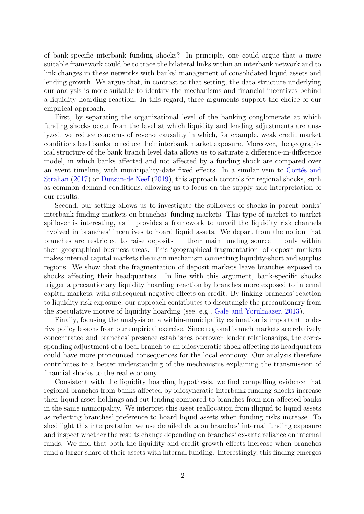of bank-specific interbank funding shocks? In principle, one could argue that a more suitable framework could be to trace the bilateral links within an interbank network and to link changes in these networks with banks' management of consolidated liquid assets and lending growth. We argue that, in contrast to that setting, the data structure underlying our analysis is more suitable to identify the mechanisms and financial incentives behind a liquidity hoarding reaction. In this regard, three arguments support the choice of our empirical approach.

First, by separating the organizational level of the banking conglomerate at which funding shocks occur from the level at which liquidity and lending adjustments are analyzed, we reduce concerns of reverse causality in which, for example, weak credit market conditions lead banks to reduce their interbank market exposure. Moreover, the geographical structure of the bank branch level data allows us to saturate a difference-in-difference model, in which banks affected and not affected by a funding shock are compared over an event timeline, with municipality-date fixed effects. In a similar vein to Cortés and [Strahan](#page-36-1) [\(2017\)](#page-36-1) or [Dursun-de Neef](#page-37-5) [\(2019\)](#page-37-5), this approach controls for regional shocks, such as common demand conditions, allowing us to focus on the supply-side interpretation of our results.

Second, our setting allows us to investigate the spillovers of shocks in parent banks' interbank funding markets on branches' funding markets. This type of market-to-market spillover is interesting, as it provides a framework to unveil the liquidity risk channels involved in branches' incentives to hoard liquid assets. We depart from the notion that branches are restricted to raise deposits — their main funding source — only within their geographical business areas. This 'geographical fragmentation' of deposit markets makes internal capital markets the main mechanism connecting liquidity-short and surplus regions. We show that the fragmentation of deposit markets leave branches exposed to shocks affecting their headquarters. In line with this argument, bank-specific shocks trigger a precautionary liquidity hoarding reaction by branches more exposed to internal capital markets, with subsequent negative effects on credit. By linking branches' reaction to liquidity risk exposure, our approach contributes to disentangle the precautionary from the speculative motive of liquidity hoarding (see, e.g., [Gale and Yorulmazer,](#page-37-1) [2013\)](#page-37-1).

Finally, focusing the analysis on a within-municipality estimation is important to derive policy lessons from our empirical exercise. Since regional branch markets are relatively concentrated and branches' presence establishes borrower–lender relationships, the corresponding adjustment of a local branch to an idiosyncratic shock affecting its headquarters could have more pronounced consequences for the local economy. Our analysis therefore contributes to a better understanding of the mechanisms explaining the transmission of financial shocks to the real economy.

Consistent with the liquidity hoarding hypothesis, we find compelling evidence that regional branches from banks affected by idiosyncratic interbank funding shocks increase their liquid asset holdings and cut lending compared to branches from non-affected banks in the same municipality. We interpret this asset reallocation from illiquid to liquid assets as reflecting branches' preference to hoard liquid assets when funding risks increase. To shed light this interpretation we use detailed data on branches' internal funding exposure and inspect whether the results change depending on branches' ex-ante reliance on internal funds. We find that both the liquidity and credit growth effects increase when branches fund a larger share of their assets with internal funding. Interestingly, this finding emerges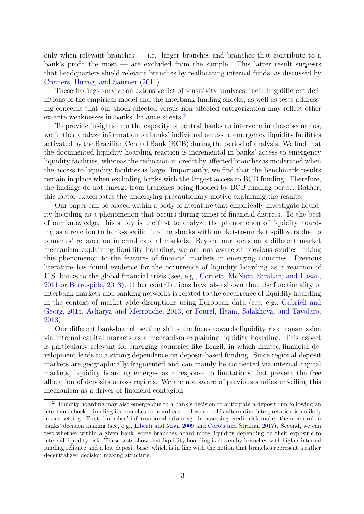only when relevant branches — i.e. larger branches and branches that contribute to a bank's profit the most  $\sim$  are excluded from the sample. This latter result suggests that headquarters shield relevant branches by reallocating internal funds, as discussed by [Cremers, Huang, and Sautner](#page-36-2) [\(2011\)](#page-36-2).

These findings survive an extensive list of sensitivity analyses, including different definitions of the empirical model and the interbank funding shocks, as well as tests addressing concerns that our shock-affected versus non-affected categorization may reflect other ex-ante weaknesses in banks' balance sheets.[2](#page--1-0)

To provide insights into the capacity of central banks to intervene in these scenarios, we further analyze information on banks' individual access to emergency liquidity facilities activated by the Brazilian Central Bank (BCB) during the period of analysis. We find that the documented liquidity hoarding reaction is incremental in banks' access to emergency liquidity facilities, whereas the reduction in credit by affected branches is moderated when the access to liquidity facilities is large. Importantly, we find that the benchmark results remain in place when excluding banks with the largest access to BCB funding. Therefore, the findings do not emerge from branches being flooded by BCB funding per se. Rather, this factor exacerbates the underlying precautionary motive explaining the results.

Our paper can be placed within a body of literature that empirically investigate liquidity hoarding as a phenomenon that occurs during times of financial distress. To the best of our knowledge, this study is the first to analyze the phenomenon of liquidity hoarding as a reaction to bank-specific funding shocks with market-to-market spillovers due to branches' reliance on internal capital markets. Beyond our focus on a different market mechanism explaining liquidity hoarding, we are not aware of previous studies linking this phenomenon to the features of financial markets in emerging countries. Previous literature has found evidence for the occurrence of liquidity hoarding as a reaction of U.S. banks to the global financial crisis (see, e.g., [Cornett, McNutt, Strahan, and Hasan,](#page-36-3) [2011](#page-36-3) or [Berrospide,](#page-35-5) [2013\)](#page-35-5). Other contributions have also shown that the functionality of interbank markets and banking networks is related to the occurrence of liquidity hoarding in the context of market-wide disruptions using European data (see, e.g., [Gabrieli and](#page-37-6) [Georg,](#page-37-6) [2015,](#page-37-6) [Acharya and Merrouche,](#page-35-2) [2013,](#page-35-2) or [Fourel, Heam, Salakhova, and Tavolaro,](#page-37-7) [2013\)](#page-37-7).

Our different bank-branch setting shifts the focus towards liquidity risk transmission via internal capital markets as a mechanism explaining liquidity hoarding. This aspect is particularly relevant for emerging countries like Brazil, in which limited financial development leads to a strong dependence on deposit-based funding. Since regional deposit markets are geographically fragmented and can mainly be connected via internal capital markets, liquidity hoarding emerges as a response to limitations that prevent the free allocation of deposits across regions. We are not aware of previous studies unveiling this mechanism as a driver of financial contagion.

<sup>2</sup>Liquidity hoarding may also emerge due to a bank's decision to anticipate a deposit run following an interbank shock, directing its branches to hoard cash. However, this alternative interpretation is unlikely in our setting. First, branches' informational advantage in assessing credit risk makes them central in banks' decision making (see, e.g., [Liberti and Mian](#page-38-0) [2009](#page-38-0) and Cortés and Strahan [2017\)](#page-36-1). Second, we can test whether within a given bank, some branches hoard more liquidity depending on their exposure to internal liquidity risk. These tests show that liquidity hoarding is driven by branches with higher internal funding reliance and a low deposit base, which is in line with the notion that branches represent a rather decentralized decision making structure.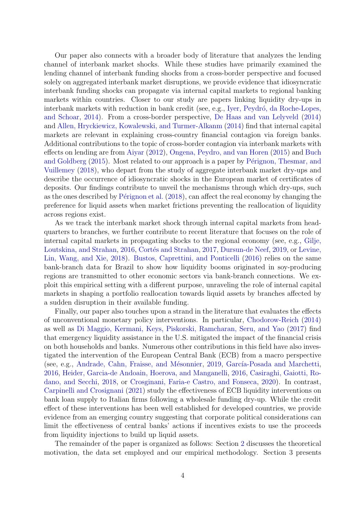Our paper also connects with a broader body of literature that analyzes the lending channel of interbank market shocks. While these studies have primarily examined the lending channel of interbank funding shocks from a cross-border perspective and focused solely on aggregated interbank market disruptions, we provide evidence that idiosyncratic interbank funding shocks can propagate via internal capital markets to regional banking markets within countries. Closer to our study are papers linking liquidity dry-ups in interbank markets with reduction in bank credit (see, e.g., Iyer, Peydró, da Roche-Lopes, [and Schoar,](#page-38-1) [2014\)](#page-38-1). From a cross-border perspective, [De Haas and van Lelyveld](#page-36-4) [\(2014\)](#page-36-4) and [Allen, Hryckiewicz, Kowalewski, and Turmer-Alkanm](#page-35-6) [\(2014\)](#page-35-6) find that internal capital markets are relevant in explaining cross-country financial contagion via foreign banks. Additional contributions to the topic of cross-border contagion via interbank markets with effects on lending are from [Aiyar](#page-35-7) [\(2012\)](#page-35-7), [Ongena, Peydro, and van Horen](#page-38-2) [\(2015\)](#page-38-2) and [Buch](#page-35-8) [and Goldberg](#page-35-8) [\(2015\)](#page-35-8). Most related to our approach is a paper by Pérignon, Thesmar, and [Vuillemey](#page-38-3) [\(2018\)](#page-38-3), who depart from the study of aggregate interbank market dry-ups and describe the occurrence of idiosyncratic shocks in the European market of certificates of deposits. Our findings contribute to unveil the mechanisms through which dry-ups, such as the ones described by Pérignon et al.  $(2018)$ , can affect the real economy by changing the preference for liquid assets when market frictions preventing the reallocation of liquidity across regions exist.

As we track the interbank market shock through internal capital markets from headquarters to branches, we further contribute to recent literature that focuses on the role of internal capital markets in propagating shocks to the regional economy (see, e.g., [Gilje,](#page-37-8) [Loutskina, and Strahan,](#page-37-8) [2016,](#page-37-8) Cortés and Strahan, [2017,](#page-36-1) [Dursun-de Neef,](#page-37-5) [2019,](#page-37-5) or [Levine,](#page-38-4) [Lin, Wang, and Xie,](#page-38-4) [2018\)](#page-38-4). [Bustos, Caprettini, and Ponticelli](#page-35-9) [\(2016\)](#page-35-9) relies on the same bank-branch data for Brazil to show how liquidity booms originated in soy-producing regions are transmitted to other economic sectors via bank-branch connections. We exploit this empirical setting with a different purpose, unraveling the role of internal capital markets in shaping a portfolio reallocation towards liquid assets by branches affected by a sudden disruption in their available funding.

Finally, our paper also touches upon a strand in the literature that evaluates the effects of unconventional monetary policy interventions. In particular, [Chodorow-Reich](#page-36-5) [\(2014\)](#page-36-5) as well as [Di Maggio, Kermani, Keys, Piskorski, Ramcharan, Seru, and Yao](#page-37-9) [\(2017\)](#page-37-9) find that emergency liquidity assistance in the U.S. mitigated the impact of the financial crisis on both households and banks. Numerous other contributions in this field have also investigated the intervention of the European Central Bank (ECB) from a macro perspective (see, e.g., Andrade, Cahn, Fraisse, and Mésonnier, [2019,](#page-35-10) García-Posada and Marchetti, [2016,](#page-37-10) [Heider, Garcia-de Andoain, Hoerova, and Manganelli,](#page-37-11) [2016,](#page-37-11) [Casiraghi, Gaiotti, Ro](#page-36-6)[dano, and Secchi,](#page-36-6) [2018,](#page-36-6) or [Crosginani, Faria-e Castro, and Fonseca,](#page-36-7) [2020\)](#page-36-7). In contrast, [Carpinelli and Crosignani](#page-36-8) [\(2021\)](#page-36-8) study the effectiveness of ECB liquidity interventions on bank loan supply to Italian firms following a wholesale funding dry-up. While the credit effect of these interventions has been well established for developed countries, we provide evidence from an emerging country suggesting that corporate political considerations can limit the effectiveness of central banks' actions if incentives exists to use the proceeds from liquidity injections to build up liquid assets.

The remainder of the paper is organized as follows: Section [2](#page-9-0) discusses the theoretical motivation, the data set employed and our empirical methodology. Section 3 presents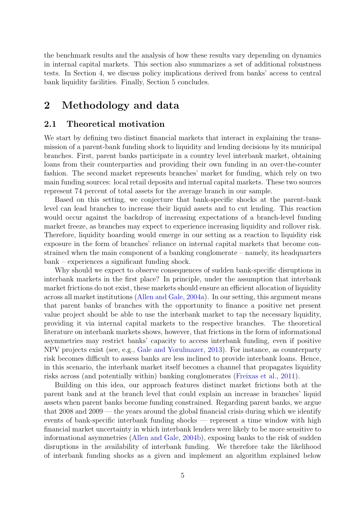the benchmark results and the analysis of how these results vary depending on dynamics in internal capital markets. This section also summarizes a set of additional robustness tests. In Section 4, we discuss policy implications derived from banks' access to central bank liquidity facilities. Finally, Section 5 concludes.

# <span id="page-9-0"></span>2 Methodology and data

#### 2.1 Theoretical motivation

We start by defining two distinct financial markets that interact in explaining the transmission of a parent-bank funding shock to liquidity and lending decisions by its municipal branches. First, parent banks participate in a country level interbank market, obtaining loans from their counterparties and providing their own funding in an over-the-counter fashion. The second market represents branches' market for funding, which rely on two main funding sources: local retail deposits and internal capital markets. These two sources represent 74 percent of total assets for the average branch in our sample.

Based on this setting, we conjecture that bank-specific shocks at the parent-bank level can lead branches to increase their liquid assets and to cut lending. This reaction would occur against the backdrop of increasing expectations of a branch-level funding market freeze, as branches may expect to experience increasing liquidity and rollover risk. Therefore, liquidity hoarding would emerge in our setting as a reaction to liquidity risk exposure in the form of branches' reliance on internal capital markets that become constrained when the main component of a banking conglomerate – namely, its headquarters bank – experiences a significant funding shock.

Why should we expect to observe consequences of sudden bank-specific disruptions in interbank markets in the first place? In principle, under the assumption that interbank market frictions do not exist, these markets should ensure an efficient allocation of liquidity across all market institutions [\(Allen and Gale,](#page-35-4) [2004a\)](#page-35-4). In our setting, this argument means that parent banks of branches with the opportunity to finance a positive net present value project should be able to use the interbank market to tap the necessary liquidity, providing it via internal capital markets to the respective branches. The theoretical literature on interbank markets shows, however, that frictions in the form of informational asymmetries may restrict banks' capacity to access interbank funding, even if positive NPV projects exist (see, e.g., [Gale and Yorulmazer,](#page-37-1) [2013\)](#page-37-1). For instance, as counterparty risk becomes difficult to assess banks are less inclined to provide interbank loans. Hence, in this scenario, the interbank market itself becomes a channel that propagates liquidity risks across (and potentially within) banking conglomerates [\(Freixas et al.,](#page-37-2) [2011\)](#page-37-2).

Building on this idea, our approach features distinct market frictions both at the parent bank and at the branch level that could explain an increase in branches' liquid assets when parent banks become funding constrained. Regarding parent banks, we argue that 2008 and 2009 –– the years around the global financial crisis during which we identify events of bank-specific interbank funding shocks –– represent a time window with high financial market uncertainty in which interbank lenders were likely to be more sensitive to informational asymmetries [\(Allen and Gale,](#page-35-11) [2004b\)](#page-35-11), exposing banks to the risk of sudden disruptions in the availability of interbank funding. We therefore take the likelihood of interbank funding shocks as a given and implement an algorithm explained below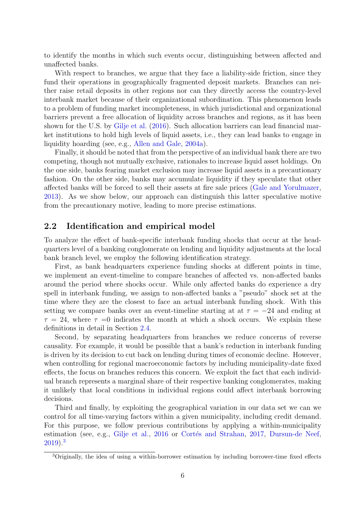to identify the months in which such events occur, distinguishing between affected and unaffected banks.

With respect to branches, we argue that they face a liability-side friction, since they fund their operations in geographically fragmented deposit markets. Branches can neither raise retail deposits in other regions nor can they directly access the country-level interbank market because of their organizational subordination. This phenomenon leads to a problem of funding market incompleteness, in which jurisdictional and organizational barriers prevent a free allocation of liquidity across branches and regions, as it has been shown for the U.S. by [Gilje et al.](#page-37-8) [\(2016\)](#page-37-8). Such allocation barriers can lead financial market institutions to hold high levels of liquid assets, i.e., they can lead banks to engage in liquidity hoarding (see, e.g., [Allen and Gale,](#page-35-4) [2004a\)](#page-35-4).

Finally, it should be noted that from the perspective of an individual bank there are two competing, though not mutually exclusive, rationales to increase liquid asset holdings. On the one side, banks fearing market exclusion may increase liquid assets in a precautionary fashion. On the other side, banks may accumulate liquidity if they speculate that other affected banks will be forced to sell their assets at fire sale prices [\(Gale and Yorulmazer,](#page-37-1) [2013\)](#page-37-1). As we show below, our approach can distinguish this latter speculative motive from the precautionary motive, leading to more precise estimations.

#### 2.2 Identification and empirical model

To analyze the effect of bank-specific interbank funding shocks that occur at the headquarters level of a banking conglomerate on lending and liquidity adjustments at the local bank branch level, we employ the following identification strategy.

First, as bank headquarters experience funding shocks at different points in time, we implement an event-timeline to compare branches of affected vs. non-affected banks around the period where shocks occur. While only affected banks do experience a dry spell in interbank funding, we assign to non-affected banks a "pseudo" shock set at the time where they are the closest to face an actual interbank funding shock. With this setting we compare banks over an event-timeline starting at at  $\tau = -24$  and ending at  $\tau = 24$ , where  $\tau = 0$  indicates the month at which a shock occurs. We explain these definitions in detail in Section [2.4.](#page-14-0)

Second, by separating headquarters from branches we reduce concerns of reverse causality. For example, it would be possible that a bank's reduction in interbank funding is driven by its decision to cut back on lending during times of economic decline. However, when controlling for regional macroeconomic factors by including municipality-date fixed effects, the focus on branches reduces this concern. We exploit the fact that each individual branch represents a marginal share of their respective banking conglomerates, making it unlikely that local conditions in individual regions could affect interbank borrowing decisions.

Third and finally, by exploiting the geographical variation in our data set we can we control for all time-varying factors within a given municipality, including credit demand. For this purpose, we follow previous contributions by applying a within-municipality estimation (see, e.g., [Gilje et al.,](#page-37-8) [2016](#page-37-8) or Cortés and Strahan, [2017,](#page-36-1) [Dursun-de Neef,](#page-37-5) [2019\)](#page-37-5).[3](#page--1-0)

<sup>3</sup>Originally, the idea of using a within-borrower estimation by including borrower-time fixed effects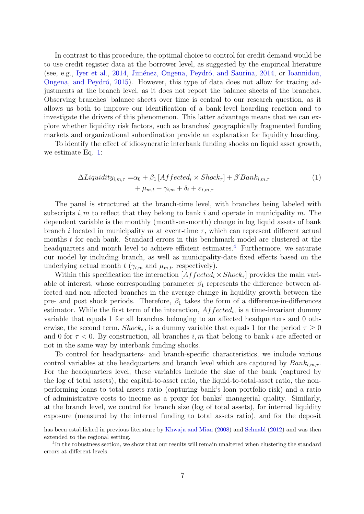In contrast to this procedure, the optimal choice to control for credit demand would be to use credit register data at the borrower level, as suggested by the empirical literature (see, e.g., [Iyer et al.,](#page-38-1) [2014,](#page-38-5) Jiménez, Ongena, Peydró, and Saurina, 2014, or [Ioannidou,](#page-38-6) Ongena, and Peydró, [2015\)](#page-38-6). However, this type of data does not allow for tracing adjustments at the branch level, as it does not report the balance sheets of the branches. Observing branches' balance sheets over time is central to our research question, as it allows us both to improve our identification of a bank-level hoarding reaction and to investigate the drivers of this phenomenon. This latter advantage means that we can explore whether liquidity risk factors, such as branches' geographically fragmented funding markets and organizational subordination provide an explanation for liquidity hoarding.

To identify the effect of idiosyncratic interbank funding shocks on liquid asset growth, we estimate Eq. [1:](#page-11-0)

<span id="page-11-0"></span>
$$
\Delta Liquidity_{i,m,\tau} = \alpha_0 + \beta_1 \left[ Affected_i \times Shock_{\tau} \right] + \beta' Bank_{i,m,\tau}
$$
  
+  $\mu_{m,t} + \gamma_{i,m} + \delta_t + \varepsilon_{i,m,\tau}$  (1)

The panel is structured at the branch-time level, with branches being labeled with subscripts i, m to reflect that they belong to bank i and operate in municipality m. The dependent variable is the monthly (month-on-month) change in log liquid assets of bank branch *i* located in municipality m at event-time  $\tau$ , which can represent different actual months t for each bank. Standard errors in this benchmark model are clustered at the headquarters and month level to achieve efficient estimates.<sup>[4](#page--1-0)</sup> Furthermore, we saturate our model by including branch, as well as municipality-date fixed effects based on the underlying actual month  $t$  ( $\gamma_{i,m}$  and  $\mu_{m,t}$ , respectively).

Within this specification the interaction  $[Affected_i \times Shock_{\tau}]$  provides the main variable of interest, whose corresponding parameter  $\beta_1$  represents the difference between affected and non-affected branches in the average change in liquidity growth between the pre- and post shock periods. Therefore,  $\beta_1$  takes the form of a difference-in-differences estimator. While the first term of the interaction,  $Affected_i$ , is a time-invariant dummy variable that equals 1 for all branches belonging to an affected headquarters and 0 otherwise, the second term,  $Shock_{\tau}$ , is a dummy variable that equals 1 for the period  $\tau \geq 0$ and 0 for  $\tau < 0$ . By construction, all branches i, m that belong to bank i are affected or not in the same way by interbank funding shocks.

To control for headquarters- and branch-specific characteristics, we include various control variables at the headquarters and branch level which are captured by  $Bank_{i,m,\tau}$ . For the headquarters level, these variables include the size of the bank (captured by the log of total assets), the capital-to-asset ratio, the liquid-to-total-asset ratio, the nonperforming loans to total assets ratio (capturing bank's loan portfolio risk) and a ratio of administrative costs to income as a proxy for banks' managerial quality. Similarly, at the branch level, we control for branch size (log of total assets), for internal liquidity exposure (measured by the internal funding to total assets ratio), and for the deposit

has been established in previous literature by [Khwaja and Mian](#page-38-7) [\(2008\)](#page-38-7) and [Schnabl](#page-38-8) [\(2012\)](#page-38-8) and was then extended to the regional setting.

<sup>&</sup>lt;sup>4</sup>In the robustness section, we show that our results will remain unaltered when clustering the standard errors at different levels.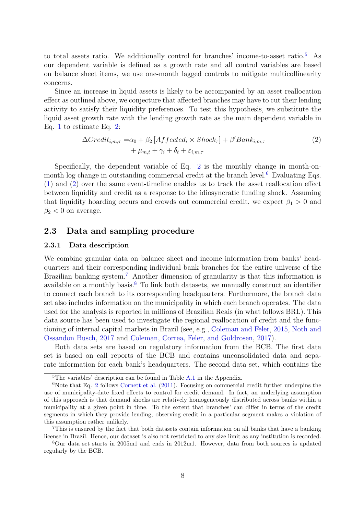to total assets ratio. We additionally control for branches' income-to-asset ratio.[5](#page--1-0) As our dependent variable is defined as a growth rate and all control variables are based on balance sheet items, we use one-month lagged controls to mitigate multicollinearity concerns.

Since an increase in liquid assets is likely to be accompanied by an asset reallocation effect as outlined above, we conjecture that affected branches may have to cut their lending activity to satisfy their liquidity preferences. To test this hypothesis, we substitute the liquid asset growth rate with the lending growth rate as the main dependent variable in Eq. [1](#page-11-0) to estimate Eq. [2:](#page-12-0)

<span id="page-12-0"></span>
$$
\Delta Credit_{i,m,\tau} = \alpha_0 + \beta_2 \left[ Affected_i \times Shock_{\tau} \right] + \beta' Bank_{i,m,\tau} + \mu_{m,t} + \gamma_i + \delta_t + \varepsilon_{i,m,\tau}
$$
\n(2)

Specifically, the dependent variable of Eq.  $2$  is the monthly change in month-on-month log change in outstanding commercial credit at the branch level.<sup>[6](#page--1-0)</sup> Evaluating Eqs. [\(1\)](#page-11-0) and [\(2\)](#page-12-0) over the same event-timeline enables us to track the asset reallocation effect between liquidity and credit as a response to the idiosyncratic funding shock. Assuming that liquidity hoarding occurs and crowds out commercial credit, we expect  $\beta_1 > 0$  and  $\beta_2$  < 0 on average.

#### 2.3 Data and sampling procedure

#### 2.3.1 Data description

We combine granular data on balance sheet and income information from banks' headquarters and their corresponding individual bank branches for the entire universe of the Brazilian banking system.<sup>[7](#page--1-0)</sup> Another dimension of granularity is that this information is available on a monthly basis.[8](#page--1-0) To link both datasets, we manually construct an identifier to connect each branch to its corresponding headquarters. Furthermore, the branch data set also includes information on the municipality in which each branch operates. The data used for the analysis is reported in millions of Brazilian Reais (in what follows BRL). This data source has been used to investigate the regional reallocation of credit and the functioning of internal capital markets in Brazil (see, e.g., [Coleman and Feler,](#page-36-9) [2015,](#page-36-9) [Noth and](#page-38-9) [Ossandon Busch,](#page-38-9) [2017](#page-38-9) and [Coleman, Correa, Feler, and Goldrosen,](#page-36-10) [2017\)](#page-36-10).

Both data sets are based on regulatory information from the BCB. The first data set is based on call reports of the BCB and contains unconsolidated data and separate information for each bank's headquarters. The second data set, which contains the

<sup>&</sup>lt;sup>5</sup>The variables' description can be found in Table [A.1](#page-39-0) in the Appendix.

 $6$ Note that Eq. [2](#page-12-0) follows [Cornett et al.](#page-36-3) [\(2011\)](#page-36-3). Focusing on commercial credit further underpins the use of municipality-date fixed effects to control for credit demand. In fact, an underlying assumption of this approach is that demand shocks are relatively homogeneously distributed across banks within a municipality at a given point in time. To the extent that branches' can differ in terms of the credit segments in which they provide lending, observing credit in a particular segment makes a violation of this assumption rather unlikely.

<sup>7</sup>This is ensured by the fact that both datasets contain information on all banks that have a banking license in Brazil. Hence, our dataset is also not restricted to any size limit as any institution is recorded.

<sup>8</sup>Our data set starts in 2005m1 and ends in 2012m1. However, data from both sources is updated regularly by the BCB.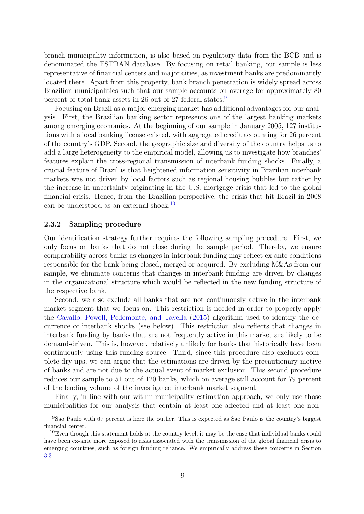branch-municipality information, is also based on regulatory data from the BCB and is denominated the ESTBAN database. By focusing on retail banking, our sample is less representative of financial centers and major cities, as investment banks are predominantly located there. Apart from this property, bank branch penetration is widely spread across Brazilian municipalities such that our sample accounts on average for approximately 80 percent of total bank assets in 26 out of 27 federal states.[9](#page--1-0)

Focusing on Brazil as a major emerging market has additional advantages for our analysis. First, the Brazilian banking sector represents one of the largest banking markets among emerging economies. At the beginning of our sample in January 2005, 127 institutions with a local banking license existed, with aggregated credit accounting for 26 percent of the country's GDP. Second, the geographic size and diversity of the country helps us to add a large heterogeneity to the empirical model, allowing us to investigate how branches' features explain the cross-regional transmission of interbank funding shocks. Finally, a crucial feature of Brazil is that heightened information sensitivity in Brazilian interbank markets was not driven by local factors such as regional housing bubbles but rather by the increase in uncertainty originating in the U.S. mortgage crisis that led to the global financial crisis. Hence, from the Brazilian perspective, the crisis that hit Brazil in 2008 can be understood as an external shock.[10](#page--1-0)

#### 2.3.2 Sampling procedure

Our identification strategy further requires the following sampling procedure. First, we only focus on banks that do not close during the sample period. Thereby, we ensure comparability across banks as changes in interbank funding may reflect ex-ante conditions responsible for the bank being closed, merged or acquired. By excluding M&As from our sample, we eliminate concerns that changes in interbank funding are driven by changes in the organizational structure which would be reflected in the new funding structure of the respective bank.

Second, we also exclude all banks that are not continuously active in the interbank market segment that we focus on. This restriction is needed in order to properly apply the [Cavallo, Powell, Pedemonte, and Tavella](#page-36-11) [\(2015\)](#page-36-11) algorithm used to identify the occurrence of interbank shocks (see below). This restriction also reflects that changes in interbank funding by banks that are not frequently active in this market are likely to be demand-driven. This is, however, relatively unlikely for banks that historically have been continuously using this funding source. Third, since this procedure also excludes complete dry-ups, we can argue that the estimations are driven by the precautionary motive of banks and are not due to the actual event of market exclusion. This second procedure reduces our sample to 51 out of 120 banks, which on average still account for 79 percent of the lending volume of the investigated interbank market segment.

Finally, in line with our within-municipality estimation approach, we only use those municipalities for our analysis that contain at least one affected and at least one non-

<sup>&</sup>lt;sup>9</sup>Sao Paulo with 67 percent is here the outlier. This is expected as Sao Paulo is the country's biggest financial center.

<sup>10</sup>Even though this statement holds at the country level, it may be the case that individual banks could have been ex-ante more exposed to risks associated with the transmission of the global financial crisis to emerging countries, such as foreign funding reliance. We empirically address these concerns in Section [3.3.](#page-24-0)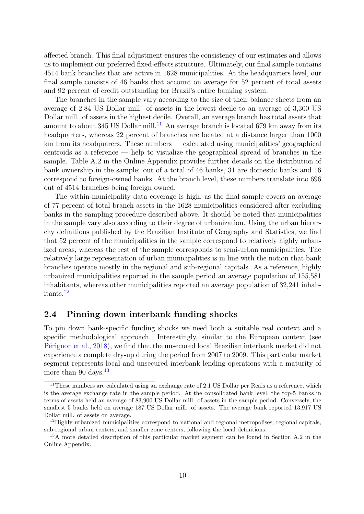affected branch. This final adjustment ensures the consistency of our estimates and allows us to implement our preferred fixed-effects structure. Ultimately, our final sample contains 4514 bank branches that are active in 1628 municipalities. At the headquarters level, our final sample consists of 46 banks that account on average for 52 percent of total assets and 92 percent of credit outstanding for Brazil's entire banking system.

The branches in the sample vary according to the size of their balance sheets from an average of 2.84 US Dollar mill. of assets in the lowest decile to an average of 3,300 US Dollar mill. of assets in the highest decile. Overall, an average branch has total assets that amount to about 345 US Dollar mill.<sup>[11](#page--1-0)</sup> An average branch is located 679 km away from its headquarters, whereas 22 percent of branches are located at a distance larger than 1000 km from its headquarers. These numbers — calculated using municipalities' geographical centroids as a reference — help to visualize the geographical spread of branches in the sample. Table A.2 in the Online Appendix provides further details on the distribution of bank ownership in the sample: out of a total of 46 banks, 31 are domestic banks and 16 correspond to foreign-owned banks. At the branch level, these numbers translate into 696 out of 4514 branches being foreign owned.

The within-municipality data coverage is high, as the final sample covers an average of 77 percent of total branch assets in the 1628 municipalities considered after excluding banks in the sampling procedure described above. It should be noted that municipalities in the sample vary also according to their degree of urbanization. Using the urban hierarchy definitions published by the Brazilian Institute of Geography and Statistics, we find that 52 percent of the municipalities in the sample correspond to relatively highly urbanized areas, whereas the rest of the sample corresponds to semi-urban municipalities. The relatively large representation of urban municipalities is in line with the notion that bank branches operate mostly in the regional and sub-regional capitals. As a reference, highly urbanized municipalities reported in the sample period an average population of 155,581 inhabitants, whereas other municipalities reported an average population of 32,241 inhabitants.[12](#page--1-0)

#### <span id="page-14-0"></span>2.4 Pinning down interbank funding shocks

To pin down bank-specific funding shocks we need both a suitable real context and a specific methodological approach. Interestingly, similar to the European context (see Pérignon et al., [2018\)](#page-38-3), we find that the unsecured local Brazilian interbank market did not experience a complete dry-up during the period from 2007 to 2009. This particular market segment represents local and unsecured interbank lending operations with a maturity of more than 90 days. $13$ 

 $11$ These numbers are calculated using an exchange rate of 2.1 US Dollar per Reais as a reference, which is the average exchange rate in the sample period. At the consolidated bank level, the top-5 banks in terms of assets held an average of 83,900 US Dollar mill. of assets in the sample period. Conversely, the smallest 5 banks held on average 187 US Dollar mill. of assets. The average bank reported 13,917 US Dollar mill. of assets on average.

<sup>&</sup>lt;sup>12</sup>Highly urbanized municipalities correspond to national and regional metropolises, regional capitals, sub-regional urban centers, and smaller zone centers, following the local definitions.

<sup>&</sup>lt;sup>13</sup>A more detailed description of this particular market segment can be found in Section A.2 in the Online Appendix.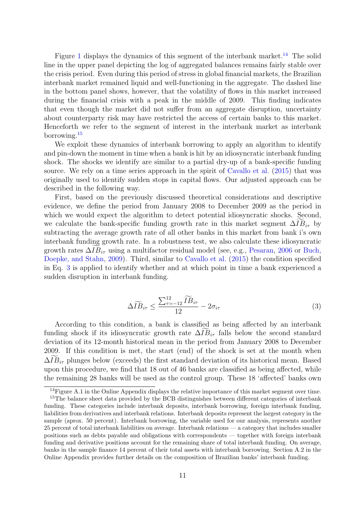Figure [1](#page-16-0) displays the dynamics of this segment of the interbank market.<sup>[14](#page--1-0)</sup> The solid line in the upper panel depicting the log of aggregated balances remains fairly stable over the crisis period. Even during this period of stress in global financial markets, the Brazilian interbank market remained liquid and well-functioning in the aggregate. The dashed line in the bottom panel shows, however, that the volatility of flows in this market increased during the financial crisis with a peak in the middle of 2009. This finding indicates that even though the market did not suffer from an aggregate disruption, uncertainty about counterparty risk may have restricted the access of certain banks to this market. Henceforth we refer to the segment of interest in the interbank market as interbank borrowing.[15](#page--1-0)

We exploit these dynamics of interbank borrowing to apply an algorithm to identify and pin-down the moment in time when a bank is hit by an idiosyncratic interbank funding shock. The shocks we identify are similar to a partial dry-up of a bank-specific funding source. We rely on a time series approach in the spirit of [Cavallo et al.](#page-36-11) [\(2015\)](#page-36-11) that was originally used to identify sudden stops in capital flows. Our adjusted approach can be described in the following way.

First, based on the previously discussed theoretical considerations and descriptive evidence, we define the period from January 2008 to December 2009 as the period in which we would expect the algorithm to detect potential idiosyncratic shocks. Second, we calculate the bank-specific funding growth rate in this market segment  $\Delta IB_{i\tau}$  by subtracting the average growth rate of all other banks in this market from bank i's own interbank funding growth rate. In a robustness test, we also calculate these idiosyncratic growth rates  $\Delta IB_{i\tau}$  using a multifactor residual model (see, e.g., [Pesaran,](#page-38-10) [2006](#page-38-10) or [Buch,](#page-35-12) [Doepke, and Stahn,](#page-35-12) [2009\)](#page-35-12). Third, similar to [Cavallo et al.](#page-36-11) [\(2015\)](#page-36-11) the condition specified in Eq. [3](#page-15-0) is applied to identify whether and at which point in time a bank experienced a sudden disruption in interbank funding.

<span id="page-15-0"></span>
$$
\Delta \widetilde{IB}_{i\tau} \le \frac{\sum_{\tau=-12}^{12} \widetilde{IB}_{i\tau}}{12} - 2\sigma_{i\tau}
$$
\n(3)

According to this condition, a bank is classified as being affected by an interbank funding shock if its idiosyncratic growth rate  $\Delta IB_{i\tau}$  falls below the second standard deviation of its 12-month historical mean in the period from January 2008 to December 2009. If this condition is met, the start (end) of the shock is set at the month when  $\Delta IB_{i\tau}$  plunges below (exceeds) the first standard deviation of its historical mean. Based upon this procedure, we find that 18 out of 46 banks are classified as being affected, while the remaining 28 banks will be used as the control group. These 18 'affected' banks own

<sup>&</sup>lt;sup>14</sup>Figure A.1 in the Online Appendix displays the relative importance of this market segment over time.

<sup>&</sup>lt;sup>15</sup>The balance sheet data provided by the BCB distinguishes between different categories of interbank funding. These categories include interbank deposits, interbank borrowing, foreign interbank funding, liabilities from derivatives and interbank relations. Interbank deposits represent the largest category in the sample (aprox. 50 percent). Interbank borrowing, the variable used for our analysis, represents another 25 percent of total interbank liabilities on average. Interbank relations — a category that includes smaller positions such as debts payable and obligations with correspondents — together with foreign interbank funding and derivative positions account for the remaining share of total interbank funding. On average, banks in the sample finance 14 percent of their total assets with interbank borrowing. Section A.2 in the Online Appendix provides further details on the composition of Brazilian banks' interbank funding.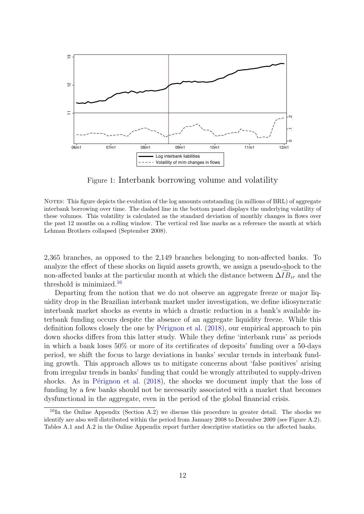<span id="page-16-0"></span>

Figure 1: Interbank borrowing volume and volatility

NOTES: This figure depicts the evolution of the log amounts outstanding (in millions of BRL) of aggregate interbank borrowing over time. The dashed line in the bottom panel displays the underlying volatility of these volumes. This volatility is calculated as the standard deviation of monthly changes in flows over the past 12 months on a rolling window. The vertical red line marks as a reference the month at which Lehman Brothers collapsed (September 2008).

2,365 branches, as opposed to the 2,149 branches belonging to non-affected banks. To analyze the effect of these shocks on liquid assets growth, we assign a pseudo-shock to the non-affected banks at the particular month at which the distance between  $\Delta IB_{i\tau}$  and the threshold is minimized.<sup>[16](#page--1-0)</sup>

Departing from the notion that we do not observe an aggregate freeze or major liquidity drop in the Brazilian interbank market under investigation, we define idiosyncratic interbank market shocks as events in which a drastic reduction in a bank's available interbank funding occurs despite the absence of an aggregate liquidity freeze. While this definition follows closely the one by P $\acute{e}$ rignon et al. [\(2018\)](#page-38-3), our empirical approach to pin down shocks differs from this latter study. While they define 'interbank runs' as periods in which a bank loses 50% or more of its certificates of deposits' funding over a 50-days period, we shift the focus to large deviations in banks' secular trends in interbank funding growth. This approach allows us to mitigate concerns about 'false positives' arising from irregular trends in banks' funding that could be wrongly attributed to supply-driven shocks. As in Pérignon et al.  $(2018)$ , the shocks we document imply that the loss of funding by a few banks should not be necessarily associated with a market that becomes dysfunctional in the aggregate, even in the period of the global financial crisis.

<sup>&</sup>lt;sup>16</sup>In the Online Appendix (Section A.2) we discuss this procedure in greater detail. The shocks we identify are also well distributed within the period from January 2008 to December 2009 (see Figure A.2). Tables A.1 and A.2 in the Online Appendix report further descriptive statistics on the affected banks.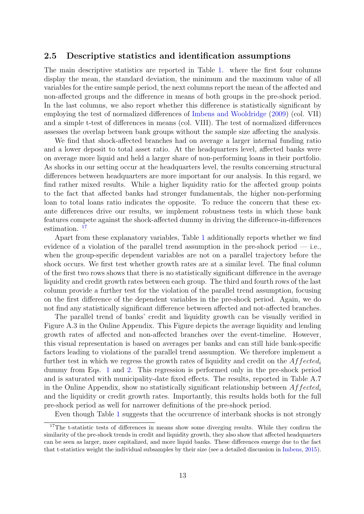#### 2.5 Descriptive statistics and identification assumptions

The main descriptive statistics are reported in Table [1.](#page-18-0) where the first four columns display the mean, the standard deviation, the minimum and the maximum value of all variables for the entire sample period, the next columns report the mean of the affected and non-affected groups and the difference in means of both groups in the pre-shock period. In the last columns, we also report whether this difference is statistically significant by employing the test of normalized differences of [Imbens and Wooldridge](#page-37-12) [\(2009\)](#page-37-12) (col. VII) and a simple t-test of differences in means (col. VIII). The test of normalized differences assesses the overlap between bank groups without the sample size affecting the analysis.

We find that shock-affected branches had on average a larger internal funding ratio and a lower deposit to total asset ratio. At the headquarters level, affected banks were on average more liquid and held a larger share of non-performing loans in their portfolio. As shocks in our setting occur at the headquarters level, the results concerning structural differences between headquarters are more important for our analysis. In this regard, we find rather mixed results. While a higher liquidity ratio for the affected group points to the fact that affected banks had stronger fundamentals, the higher non-performing loan to total loans ratio indicates the opposite. To reduce the concern that these exante differences drive our results, we implement robustness tests in which these bank features compete against the shock-affected dummy in driving the difference-in-differences estimation.<sup>[17](#page--1-0)</sup>

Apart from these explanatory variables, Table [1](#page-18-0) additionally reports whether we find evidence of a violation of the parallel trend assumption in the pre-shock period — i.e., when the group-specific dependent variables are not on a parallel trajectory before the shock occurs. We first test whether growth rates are at a similar level. The final column of the first two rows shows that there is no statistically significant difference in the average liquidity and credit growth rates between each group. The third and fourth rows of the last column provide a further test for the violation of the parallel trend assumption, focusing on the first difference of the dependent variables in the pre-shock period. Again, we do not find any statistically significant difference between affected and not-affected branches.

The parallel trend of banks' credit and liquidity growth can be visually verified in Figure A.3 in the Online Appendix. This Figure depicts the average liquidity and lending growth rates of affected and non-affected branches over the event-timeline. However, this visual representation is based on averages per banks and can still hide bank-specific factors leading to violations of the parallel trend assumption. We therefore implement a further test in which we regress the growth rates of liquidity and credit on the  $Affected_i$ dummy from Eqs. [1](#page-11-0) and [2.](#page-12-0) This regression is performed only in the pre-shock period and is saturated with municipality-date fixed effects. The results, reported in Table A.7 in the Online Appendix, show no statistically significant relationship between  $A f f ected_i$ and the liquidity or credit growth rates. Importantly, this results holds both for the full pre-shock period as well for narrower definitions of the pre-shock period.

Even though Table [1](#page-18-0) suggests that the occurrence of interbank shocks is not strongly

<sup>&</sup>lt;sup>17</sup>The t-statistic tests of differences in means show some diverging results. While they confirm the similarity of the pre-shock trends in credit and liquidity growth, they also show that affected headquarters can be seen as larger, more capitalized, and more liquid banks. These differences emerge due to the fact that t-statistics weight the individual subsamples by their size (see a detailed discussion in [Imbens,](#page-37-13) [2015\)](#page-37-13).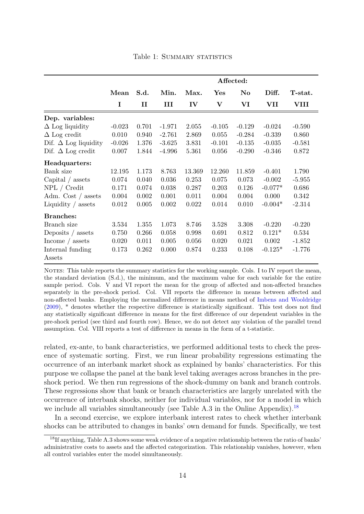<span id="page-18-0"></span>

|                                |          |              |          |               |                | Affected: |           |          |
|--------------------------------|----------|--------------|----------|---------------|----------------|-----------|-----------|----------|
|                                | Mean     | S.d.         | Min.     | Max.          | $\mathbf{Yes}$ | $\bf No$  | Diff.     | T-stat.  |
|                                | I        | $\mathbf{I}$ | Ш        | $\mathbf{IV}$ | V              | VI        | VII       | VIII     |
| Dep. variables:                |          |              |          |               |                |           |           |          |
| $\Delta$ Log liquidity         | $-0.023$ | 0.701        | $-1.971$ | 2.055         | $-0.105$       | $-0.129$  | $-0.024$  | $-0.590$ |
| $\Delta$ Log credit            | 0.010    | 0.940        | $-2.761$ | 2.869         | 0.055          | $-0.284$  | $-0.339$  | 0.860    |
| Dif. $\Delta$ Log liquidity    | $-0.026$ | 1.376        | $-3.625$ | 3.831         | $-0.101$       | $-0.135$  | $-0.035$  | $-0.581$ |
| Dif. $\Delta$ Log credit       | 0.007    | 1.844        | $-4.996$ | 5.361         | 0.056          | $-0.290$  | $-0.346$  | 0.872    |
| Headquarters:                  |          |              |          |               |                |           |           |          |
| Bank size                      | 12.195   | 1.173        | 8.763    | 13.369        | 12.260         | 11.859    | $-0.401$  | 1.790    |
| Capital $\frac{1}{2}$ assets   | 0.074    | 0.040        | 0.036    | 0.253         | 0.075          | 0.073     | $-0.002$  | $-5.955$ |
| NPL / Credit                   | 0.171    | 0.074        | 0.038    | 0.287         | 0.203          | 0.126     | $-0.077*$ | 0.686    |
| Adm. Cost $\frac{1}{2}$ assets | 0.004    | 0.002        | 0.001    | 0.011         | 0.004          | 0.004     | 0.000     | 0.342    |
| Liquidity $\frac{1}{2}$ assets | 0.012    | 0.005        | 0.002    | 0.022         | 0.014          | 0.010     | $-0.004*$ | $-2.314$ |
| <b>Branches:</b>               |          |              |          |               |                |           |           |          |
| Branch size                    | 3.534    | 1.355        | 1.073    | 8.746         | 3.528          | 3.308     | $-0.220$  | $-0.220$ |
| Deposits $\frac{\ }{2}$ assets | 0.750    | 0.266        | 0.058    | 0.998         | 0.691          | 0.812     | $0.121*$  | 0.534    |
| Income $\frac{1}{2}$ assets    | 0.020    | 0.011        | 0.005    | 0.056         | 0.020          | 0.021     | 0.002     | $-1.852$ |
| Internal funding               | 0.173    | 0.262        | 0.000    | 0.874         | 0.233          | 0.108     | $-0.125*$ | $-1.776$ |
| Assets                         |          |              |          |               |                |           |           |          |

Table 1: SUMMARY STATISTICS

NOTES: This table reports the summary statistics for the working sample. Cols. I to IV report the mean, the standard deviation (S.d.), the minimum, and the maximum value for each variable for the entire sample period. Cols. V and VI report the mean for the group of affected and non-affected branches separately in the pre-shock period. Col. VII reports the difference in means between affected and non-affected banks. Employing the normalized difference in means method of [Imbens and Wooldridge](#page-37-12) [\(2009\)](#page-37-12), \* denotes whether the respective difference is statistically significant. This test does not find any statistically significant difference in means for the first difference of our dependent variables in the pre-shock period (see third and fourth row). Hence, we do not detect any violation of the parallel trend assumption. Col. VIII reports a test of difference in means in the form of a t-statistic.

related, ex-ante, to bank characteristics, we performed additional tests to check the presence of systematic sorting. First, we run linear probability regressions estimating the occurrence of an interbank market shock as explained by banks' characteristics. For this purpose we collapse the panel at the bank level taking averages across branches in the preshock period. We then run regressions of the shock-dummy on bank and branch controls. These regressions show that bank or branch characteristics are largely unrelated with the occurrence of interbank shocks, neither for individual variables, nor for a model in which we include all variables simultaneously (see Table A.3 in the Online Appendix).<sup>[18](#page--1-0)</sup>

In a second exercise, we explore interbank interest rates to check whether interbank shocks can be attributed to changes in banks' own demand for funds. Specifically, we test

<sup>&</sup>lt;sup>18</sup>If anything, Table A.3 shows some weak evidence of a negative relationship between the ratio of banks' administrative costs to assets and the affected categorization. This relationship vanishes, however, when all control variables enter the model simultaneously.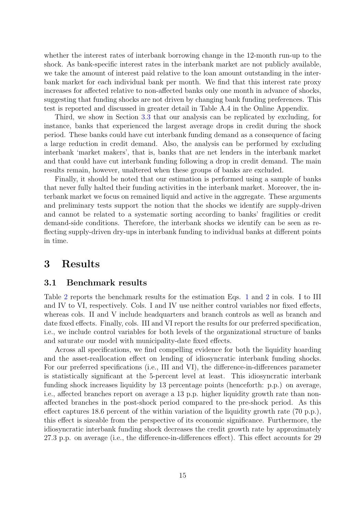whether the interest rates of interbank borrowing change in the 12-month run-up to the shock. As bank-specific interest rates in the interbank market are not publicly available, we take the amount of interest paid relative to the loan amount outstanding in the interbank market for each individual bank per month. We find that this interest rate proxy increases for affected relative to non-affected banks only one month in advance of shocks, suggesting that funding shocks are not driven by changing bank funding preferences. This test is reported and discussed in greater detail in Table A.4 in the Online Appendix.

Third, we show in Section [3.3](#page-24-0) that our analysis can be replicated by excluding, for instance, banks that experienced the largest average drops in credit during the shock period. These banks could have cut interbank funding demand as a consequence of facing a large reduction in credit demand. Also, the analysis can be performed by excluding interbank 'market makers', that is, banks that are net lenders in the interbank market and that could have cut interbank funding following a drop in credit demand. The main results remain, however, unaltered when these groups of banks are excluded.

Finally, it should be noted that our estimation is performed using a sample of banks that never fully halted their funding activities in the interbank market. Moreover, the interbank market we focus on remained liquid and active in the aggregate. These arguments and preliminary tests support the notion that the shocks we identify are supply-driven and cannot be related to a systematic sorting according to banks' fragilities or credit demand-side conditions. Therefore, the interbank shocks we identify can be seen as reflecting supply-driven dry-ups in interbank funding to individual banks at different points in time.

### 3 Results

#### 3.1 Benchmark results

Table [2](#page-20-0) reports the benchmark results for the estimation Eqs. [1](#page-11-0) and [2](#page-12-0) in cols. I to III and IV to VI, respectively. Cols. I and IV use neither control variables nor fixed effects, whereas cols. II and V include headquarters and branch controls as well as branch and date fixed effects. Finally, cols. III and VI report the results for our preferred specification, i.e., we include control variables for both levels of the organizational structure of banks and saturate our model with municipality-date fixed effects.

Across all specifications, we find compelling evidence for both the liquidity hoarding and the asset-reallocation effect on lending of idiosyncratic interbank funding shocks. For our preferred specifications (i.e., III and VI), the difference-in-differences parameter is statistically significant at the 5-percent level at least. This idiosyncratic interbank funding shock increases liquidity by 13 percentage points (henceforth: p.p.) on average, i.e., affected branches report on average a 13 p.p. higher liquidity growth rate than nonaffected branches in the post-shock period compared to the pre-shock period. As this effect captures 18.6 percent of the within variation of the liquidity growth rate (70 p.p.), this effect is sizeable from the perspective of its economic significance. Furthermore, the idiosyncratic interbank funding shock decreases the credit growth rate by approximately 27.3 p.p. on average (i.e., the difference-in-differences effect). This effect accounts for 29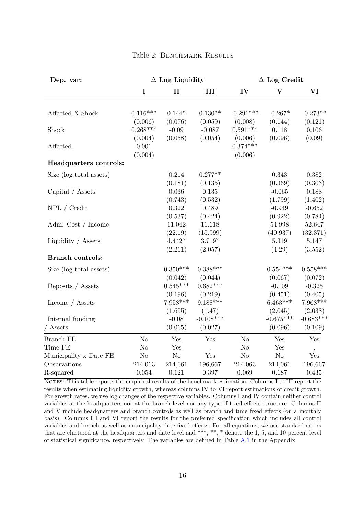<span id="page-20-0"></span>

| Dep. var:               |            | $\Delta$ Log Liquidity |             |             | $\Delta$ Log Credit  |             |  |
|-------------------------|------------|------------------------|-------------|-------------|----------------------|-------------|--|
|                         | I          | П                      | III         | IV          | V                    | VI          |  |
|                         | $0.116***$ | $0.144*$               | $0.130**$   | $-0.291***$ |                      | $-0.273**$  |  |
| Affected X Shock        | (0.006)    | (0.076)                | (0.059)     | (0.008)     | $-0.267*$<br>(0.144) | (0.121)     |  |
| Shock                   | $0.268***$ | $-0.09$                | $-0.087$    | $0.591***$  | 0.118                | 0.106       |  |
|                         | (0.004)    | (0.058)                | (0.054)     | (0.006)     | (0.096)              | (0.09)      |  |
| Affected                | 0.001      |                        |             | $0.374***$  |                      |             |  |
|                         | (0.004)    |                        |             | (0.006)     |                      |             |  |
| Headquarters controls:  |            |                        |             |             |                      |             |  |
| Size (log total assets) |            | 0.214                  | $0.277**$   |             | 0.343                | 0.382       |  |
|                         |            | (0.181)                | (0.135)     |             | (0.369)              | (0.303)     |  |
| Capital / Assets        |            | $0.036\,$              | 0.135       |             | $-0.065$             | 0.188       |  |
|                         |            | (0.743)                | (0.532)     |             | (1.799)              | (1.402)     |  |
| NPL / Credit            |            | $0.322\,$              | 0.489       |             | $-0.949$             | $-0.652$    |  |
|                         |            | (0.537)                | (0.424)     |             | (0.922)              | (0.784)     |  |
| Adm. Cost / Income      |            | 11.042                 | 11.618      |             | 54.998               | 52.647      |  |
|                         |            | (22.19)                | (15.999)    |             | (40.937)             | (32.371)    |  |
| Liquidity / Assets      |            | $4.442*$               | $3.719*$    |             | 5.319                | 5.147       |  |
|                         |            | (2.211)                | (2.057)     |             | (4.29)               | (3.552)     |  |
| <b>Branch controls:</b> |            |                        |             |             |                      |             |  |
| Size (log total assets) |            | $0.350***$             | $0.388***$  |             | $0.554***$           | $0.558***$  |  |
|                         |            | (0.042)                | (0.044)     |             | (0.067)              | (0.072)     |  |
| Deposits / Assets       |            | $0.545***$             | $0.682***$  |             | $-0.109$             | $-0.325$    |  |
|                         |            | (0.196)                | (0.219)     |             | (0.451)              | (0.405)     |  |
| Income / Assets         |            | $7.958***$             | $9.188***$  |             | $6.463***$           | 7.968***    |  |
|                         |            | (1.655)                | (1.47)      |             | (2.045)              | (2.038)     |  |
| Internal funding        |            | $-0.08$                | $-0.108***$ |             | $-0.675***$          | $-0.683***$ |  |
| / Assets                |            | (0.065)                | (0.027)     |             | (0.096)              | (0.109)     |  |
| <b>Branch FE</b>        | $\rm No$   | Yes                    | Yes         | No          | Yes                  | Yes         |  |
| Time FE                 | No         | $\operatorname{Yes}$   |             | No          | Yes                  |             |  |
| Municipality x Date FE  | $\rm No$   | $\rm No$               | Yes         | No          | $\rm No$             | Yes         |  |
| Observations            | 214,063    | 214,061                | 196,667     | 214,063     | 214,061              | 196,667     |  |
| R-squared               | 0.054      | 0.121                  | 0.397       | 0.069       | 0.187                | 0.435       |  |

#### Table 2: BENCHMARK RESULTS

NOTES: This table reports the empirical results of the benchmark estimation. Columns I to III report the results when estimating liquidity growth, whereas columns IV to VI report estimations of credit growth. For growth rates, we use log changes of the respective variables. Columns I and IV contain neither control variables at the headquarters nor at the branch level nor any type of fixed effects structure. Columns II and V include headquarters and branch controls as well as branch and time fixed effects (on a monthly basis). Columns III and VI report the results for the preferred specification which includes all control variables and branch as well as municipality-date fixed effects. For all equations, we use standard errors that are clustered at the headquarters and date level and \*\*\*, \*\*, \* denote the 1, 5, and 10 percent level of statistical significance, respectively. The variables are defined in Table [A.1](#page-39-0) in the Appendix.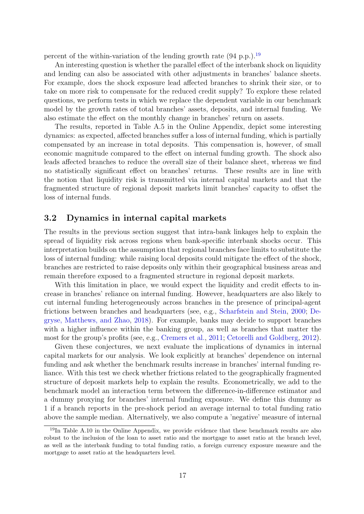percent of the within-variation of the lending growth rate  $(94 \text{ p.p.})$ .<sup>[19](#page--1-0)</sup>

An interesting question is whether the parallel effect of the interbank shock on liquidity and lending can also be associated with other adjustments in branches' balance sheets. For example, does the shock exposure lead affected branches to shrink their size, or to take on more risk to compensate for the reduced credit supply? To explore these related questions, we perform tests in which we replace the dependent variable in our benchmark model by the growth rates of total branches' assets, deposits, and internal funding. We also estimate the effect on the monthly change in branches' return on assets.

The results, reported in Table A.5 in the Online Appendix, depict some interesting dynamics: as expected, affected branches suffer a loss of internal funding, which is partially compensated by an increase in total deposits. This compensation is, however, of small economic magnitude compared to the effect on internal funding growth. The shock also leads affected branches to reduce the overall size of their balance sheet, whereas we find no statistically significant effect on branches' returns. These results are in line with the notion that liquidity risk is transmitted via internal capital markets and that the fragmented structure of regional deposit markets limit branches' capacity to offset the loss of internal funds.

#### 3.2 Dynamics in internal capital markets

The results in the previous section suggest that intra-bank linkages help to explain the spread of liquidity risk across regions when bank-specific interbank shocks occur. This interpretation builds on the assumption that regional branches face limits to substitute the loss of internal funding: while raising local deposits could mitigate the effect of the shock, branches are restricted to raise deposits only within their geographical business areas and remain therefore exposed to a fragmented structure in regional deposit markets.

With this limitation in place, we would expect the liquidity and credit effects to increase in branches' reliance on internal funding. However, headquarters are also likely to cut internal funding heterogeneously across branches in the presence of principal-agent frictions between branches and headquarters (see, e.g., [Scharfstein and Stein,](#page-38-11) [2000;](#page-38-11) [De](#page-37-14)[gryse, Matthews, and Zhao,](#page-37-14) [2018\)](#page-37-14). For example, banks may decide to support branches with a higher influence within the banking group, as well as branches that matter the most for the group's profits (see, e.g., [Cremers et al.,](#page-36-2) [2011;](#page-36-2) [Cetorelli and Goldberg,](#page-36-12) [2012\)](#page-36-12).

Given these conjectures, we next evaluate the implications of dynamics in internal capital markets for our analysis. We look explicitly at branches' dependence on internal funding and ask whether the benchmark results increase in branches' internal funding reliance. With this test we check whether frictions related to the geographically fragmented structure of deposit markets help to explain the results. Econometrically, we add to the benchmark model an interaction term between the difference-in-difference estimator and a dummy proxying for branches' internal funding exposure. We define this dummy as 1 if a branch reports in the pre-shock period an average internal to total funding ratio above the sample median. Alternatively, we also compute a 'negative' measure of internal

 $19$ In Table A.10 in the Online Appendix, we provide evidence that these benchmark results are also robust to the inclusion of the loan to asset ratio and the mortgage to asset ratio at the branch level, as well as the interbank funding to total funding ratio, a foreign currency exposure measure and the mortgage to asset ratio at the headquarters level.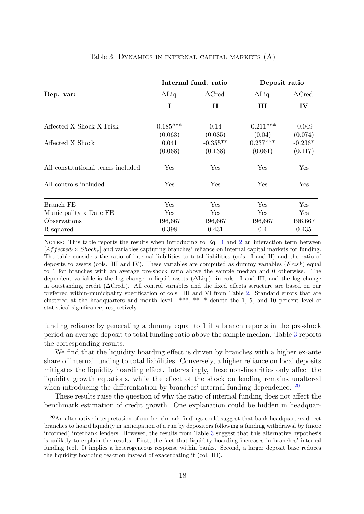<span id="page-22-0"></span>

|               |                  |                                               | Deposit ratio         |  |  |
|---------------|------------------|-----------------------------------------------|-----------------------|--|--|
| $\Delta$ Liq. | $\Delta C$ red.  | $\Delta$ Liq.                                 | $\Delta C$ red.       |  |  |
| I             | П                | Ш                                             | $\mathbf{IV}$         |  |  |
| $0.185***$    | 0.14             | $-0.211***$                                   | $-0.049$              |  |  |
| (0.063)       | (0.085)          | (0.04)                                        | (0.074)               |  |  |
|               |                  |                                               | $-0.236*$             |  |  |
|               |                  |                                               | (0.117)               |  |  |
| Yes           | Yes              | Yes                                           | Yes                   |  |  |
| Yes           | Yes              | Yes                                           | Yes                   |  |  |
| Yes           | Yes              | Yes                                           | Yes                   |  |  |
| Yes           | Yes              | Yes                                           | Yes                   |  |  |
| 196,667       | 196,667          | 196,667                                       | 196,667               |  |  |
| 0.398         | 0.431            | 0.4                                           | 0.435                 |  |  |
|               | 0.041<br>(0.068) | Internal fund. ratio<br>$-0.355**$<br>(0.138) | $0.237***$<br>(0.061) |  |  |

#### Table 3: Dynamics in internal capital markets (A)

NOTES: This table reports the results when introducing to Eq. [1](#page-11-0) and [2](#page-12-0) an interaction term between  $[Affected_i \times Shock_{\tau}]$  and variables capturing branches' reliance on internal capital markets for funding. The table considers the ratio of internal liabilities to total liabilities (cols. I and II) and the ratio of deposits to assets (cols. III and IV). These variables are computed as dummy variables  $(Frisk)$  equal to 1 for branches with an average pre-shock ratio above the sample median and 0 otherwise. The dependent variable is the log change in liquid assets (∆Liq.) in cols. I and III, and the log change in outstanding credit (∆Cred.). All control variables and the fixed effects structure are based on our preferred within-municipality specification of cols. III and VI from Table [2.](#page-20-0) Standard errors that are clustered at the headquarters and month level. \*\*\*, \*\*, \* denote the 1, 5, and 10 percent level of statistical significance, respectively.

funding reliance by generating a dummy equal to 1 if a branch reports in the pre-shock period an average deposit to total funding ratio above the sample median. Table [3](#page-22-0) reports the corresponding results.

We find that the liquidity hoarding effect is driven by branches with a higher ex-ante share of internal funding to total liabilities. Conversely, a higher reliance on local deposits mitigates the liquidity hoarding effect. Interestingly, these non-linearities only affect the liquidity growth equations, while the effect of the shock on lending remains unaltered when introducing the differentiation by branches' internal funding dependence. <sup>[20](#page--1-0)</sup>

These results raise the question of why the ratio of internal funding does not affect the benchmark estimation of credit growth. One explanation could be hidden in headquar-

 $20$ An alternative interpretation of our benchmark findings could suggest that bank headquarters direct branches to hoard liquidity in anticipation of a run by depositors following a funding withdrawal by (more informed) interbank lenders. However, the results from Table [3](#page-22-0) suggest that this alternative hypothesis is unlikely to explain the results. First, the fact that liquidity hoarding increases in branches' internal funding (col. I) implies a heterogeneous response within banks. Second, a larger deposit base reduces the liquidity hoarding reaction instead of exacerbating it (col. III).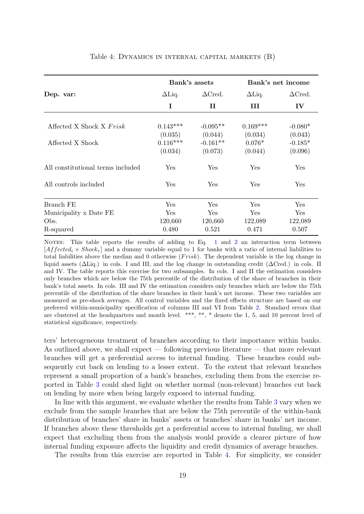<span id="page-23-0"></span>

|                                   | Bank's assets         |                       |                     | Bank's net income    |
|-----------------------------------|-----------------------|-----------------------|---------------------|----------------------|
| Dep. var:                         | $\Delta$ Liq.         | $\Delta C$ red.       | $\Delta$ Liq.       | $\Delta C$ red.      |
|                                   | I                     | П                     | Ш                   | $\mathbf{IV}$        |
| Affected X Shock X Frisk          | $0.143***$            | $-0.095**$            | $0.169***$          | $-0.080*$            |
| Affected X Shock                  | (0.035)<br>$0.116***$ | (0.044)<br>$-0.161**$ | (0.034)<br>$0.076*$ | (0.043)<br>$-0.185*$ |
|                                   | (0.034)               | (0.073)               | (0.044)             | (0.096)              |
| All constitutional terms included | Yes                   | Yes                   | Yes                 | Yes                  |
| All controls included             | Yes                   | Yes                   | Yes                 | ${\rm Yes}$          |
| Branch FE                         | Yes                   | Yes                   | Yes                 | Yes                  |
| Municipality x Date FE            | Yes                   | Yes                   | Yes                 | Yes                  |
| Obs.                              | 120,660               | 120,660               | 122,089             | 122,089              |
| R-squared                         | 0.480                 | 0.521                 | 0.471               | 0.507                |

#### Table 4: Dynamics in internal capital markets (B)

NOTES: This table reports the results of adding to Eq. [1](#page-11-0) and [2](#page-12-0) an interaction term between  $[Affected_i \times Shock_{\tau}]$  and a dummy variable equal to 1 for banks with a ratio of internal liabilities to total liabilities above the median and 0 otherwise  $(Frisk)$ . The dependent variable is the log change in liquid assets (∆Liq.) in cols. I and III, and the log change in outstanding credit (∆Cred.) in cols. II and IV. The table reports this exercise for two subsamples. In cols. I and II the estimation considers only branches which are below the 75th percentile of the distribution of the share of branches in their bank's total assets. In cols. III and IV the estimation considers only branches which are below the 75th percentile of the distribution of the share branches in their bank's net income. These two variables are measured as pre-shock averages. All control variables and the fixed effects structure are based on our preferred within-municipality specification of columns III and VI from Table [2.](#page-20-0) Standard errors that are clustered at the headquarters and month level. \*\*\*, \*\*, \* denote the 1, 5, and 10 percent level of statistical significance, respectively.

ters' heterogeneous treatment of branches according to their importance within banks. As outlined above, we shall expect — following previous literature — that more relevant branches will get a preferential access to internal funding. These branches could subsequently cut back on lending to a lesser extent. To the extent that relevant branches represent a small proportion of a bank's branches, excluding them from the exercise reported in Table [3](#page-22-0) could shed light on whether normal (non-relevant) branches cut back on lending by more when being largely exposed to internal funding.

In line with this argument, we evaluate whether the results from Table [3](#page-22-0) vary when we exclude from the sample branches that are below the 75th percentile of the within-bank distribution of branches' share in banks' assets or branches' share in banks' net income. If branches above these thresholds get a preferential access to internal funding, we shall expect that excluding them from the analysis would provide a clearer picture of how internal funding exposure affects the liquidity and credit dynamics of average branches.

The results from this exercise are reported in Table [4.](#page-23-0) For simplicity, we consider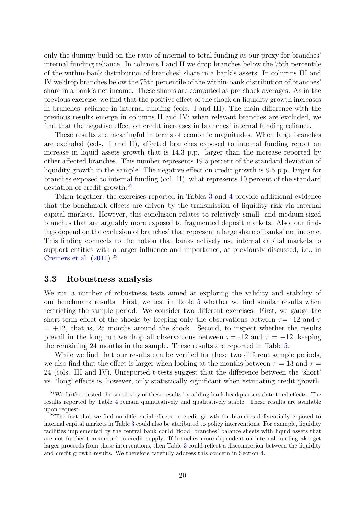only the dummy build on the ratio of internal to total funding as our proxy for branches' internal funding reliance. In columns I and II we drop branches below the 75th percentile of the within-bank distribution of branches' share in a bank's assets. In columns III and IV we drop branches below the 75th percentile of the within-bank distribution of branches' share in a bank's net income. These shares are computed as pre-shock averages. As in the previous exercise, we find that the positive effect of the shock on liquidity growth increases in branches' reliance in internal funding (cols. I and III). The main difference with the previous results emerge in columns II and IV: when relevant branches are excluded, we find that the negative effect on credit increases in branches' internal funding reliance.

These results are meaningful in terms of economic magnitudes. When large branches are excluded (cols. I and II), affected branches exposed to internal funding report an increase in liquid assets growth that is 14.3 p.p. larger than the increase reported by other affected branches. This number represents 19.5 percent of the standard deviation of liquidity growth in the sample. The negative effect on credit growth is 9.5 p.p. larger for branches exposed to internal funding (col. II), what represents 10 percent of the standard deviation of credit growth.<sup>[21](#page--1-0)</sup>

Taken together, the exercises reported in Tables [3](#page-22-0) and [4](#page-23-0) provide additional evidence that the benchmark effects are driven by the transmission of liquidity risk via internal capital markets. However, this conclusion relates to relatively small- and medium-sized branches that are arguably more exposed to fragmented deposit markets. Also, our findings depend on the exclusion of branches' that represent a large share of banks' net income. This finding connects to the notion that banks actively use internal capital markets to support entities with a larger influence and importance, as previously discussed, i.e., in [Cremers et al.](#page-36-2)  $(2011).^{22}$  $(2011).^{22}$  $(2011).^{22}$  $(2011).^{22}$ 

#### <span id="page-24-0"></span>3.3 Robustness analysis

We run a number of robustness tests aimed at exploring the validity and stability of our benchmark results. First, we test in Table [5](#page-25-0) whether we find similar results when restricting the sample period. We consider two different exercises. First, we gauge the short-term effect of the shocks by keeping only the observations between  $\tau = -12$  and  $\tau$  $= +12$ , that is, 25 months around the shock. Second, to inspect whether the results prevail in the long run we drop all observations between  $\tau = -12$  and  $\tau = +12$ , keeping the remaining 24 months in the sample. These results are reported in Table [5.](#page-25-0)

While we find that our results can be verified for these two different sample periods, we also find that the effect is larger when looking at the months between  $\tau = 13$  and  $\tau =$ 24 (cols. III and IV). Unreported t-tests suggest that the difference between the 'short' vs. 'long' effects is, however, only statistically significant when estimating credit growth.

 $21$ We further tested the sensitivity of these results by adding bank headquarters-date fixed effects. The results reported by Table [4](#page-23-0) remain quantitatively and qualitatively stable. These results are available upon request.

<sup>&</sup>lt;sup>22</sup>The fact that we find no differential effects on credit growth for branches deferentially exposed to internal capital markets in Table [3](#page-22-0) could also be attributed to policy interventions. For example, liquidity facilities implemented by the central bank could 'flood' branches' balance sheets with liquid assets that are not further transmitted to credit supply. If branches more dependent on internal funding also get larger proceeds from these interventions, then Table [3](#page-22-0) could reflect a disconnection between the liquidity and credit growth results. We therefore carefully address this concern in Section [4.](#page-31-0)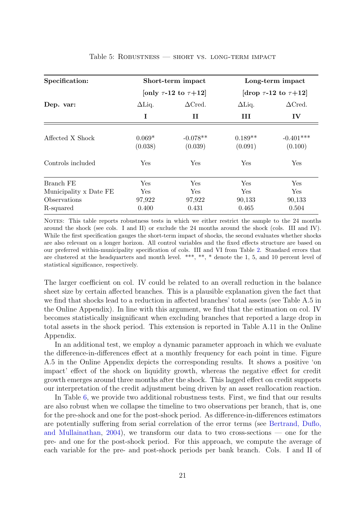<span id="page-25-0"></span>

| Specification:         |               | Short-term impact               | Long-term impact                |                 |  |
|------------------------|---------------|---------------------------------|---------------------------------|-----------------|--|
|                        |               | [only $\tau$ -12 to $\tau$ +12] | [drop $\tau$ -12 to $\tau$ +12] |                 |  |
| Dep. var:              | $\Delta$ Liq. | $\Delta C$ red.                 | $\Delta$ Liq.                   | $\Delta C$ red. |  |
|                        | I             | $\mathbf H$                     | Ш                               | $\mathbf{IV}$   |  |
|                        |               |                                 |                                 |                 |  |
| Affected X Shock       | $0.069*$      | $-0.078**$                      | $0.189**$                       | $-0.401***$     |  |
|                        | (0.038)       | (0.039)                         | (0.091)                         | (0.100)         |  |
| Controls included      | Yes           | Yes                             | Yes                             | Yes             |  |
| Branch FE              | Yes           | Yes                             | Yes                             | Yes             |  |
| Municipality x Date FE | Yes           | <b>Yes</b>                      | <b>Yes</b>                      | <b>Yes</b>      |  |
| Observations           | 97,922        | 97,922                          | 90,133                          | 90,133          |  |
| R-squared              | 0.400         | 0.431                           | 0.465                           | 0.504           |  |

#### Table 5: Robustness — short vs. long-term impact

NOTES: This table reports robustness tests in which we either restrict the sample to the 24 months around the shock (see cols. I and II) or exclude the 24 months around the shock (cols. III and IV). While the first specification gauges the short-term impact of shocks, the second evaluates whether shocks are also relevant on a longer horizon. All control variables and the fixed effects structure are based on our preferred within-municipality specification of cols. III and VI from Table [2.](#page-20-0) Standard errors that are clustered at the headquarters and month level. \*\*\*, \*\*, \* denote the 1, 5, and 10 percent level of statistical significance, respectively.

The larger coefficient on col. IV could be related to an overall reduction in the balance sheet size by certain affected branches. This is a plausible explanation given the fact that we find that shocks lead to a reduction in affected branches' total assets (see Table A.5 in the Online Appendix). In line with this argument, we find that the estimation on col. IV becomes statistically insignificant when excluding branches that reported a large drop in total assets in the shock period. This extension is reported in Table A.11 in the Online Appendix.

In an additional test, we employ a dynamic parameter approach in which we evaluate the difference-in-differences effect at a monthly frequency for each point in time. Figure A.5 in the Online Appendix depicts the corresponding results. It shows a positive 'on impact' effect of the shock on liquidity growth, whereas the negative effect for credit growth emerges around three months after the shock. This lagged effect on credit supports our interpretation of the credit adjustment being driven by an asset reallocation reaction.

In Table [6,](#page-26-0) we provide two additional robustness tests. First, we find that our results are also robust when we collapse the timeline to two observations per branch, that is, one for the pre-shock and one for the post-shock period. As difference-in-differences estimators are potentially suffering from serial correlation of the error terms (see [Bertrand, Duflo,](#page-35-13) [and Mullainathan,](#page-35-13) [2004\)](#page-35-13), we transform our data to two cross-sections — one for the pre- and one for the post-shock period. For this approach, we compute the average of each variable for the pre- and post-shock periods per bank branch. Cols. I and II of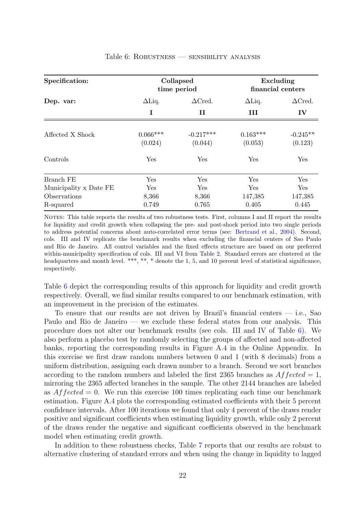<span id="page-26-0"></span>

| Specification:         |                       | Collapsed<br>time period | Excluding<br>financial centers |                       |
|------------------------|-----------------------|--------------------------|--------------------------------|-----------------------|
| Dep. var:              | $\Delta$ Liq.         | $\Delta C$ red.          | $\Delta$ Liq.                  | $\Delta C$ red.       |
|                        | Ι                     | П                        | Ш                              | IV                    |
| Affected X Shock       | $0.066***$<br>(0.024) | $-0.217***$<br>(0.044)   | $0.163***$<br>(0.053)          | $-0.245**$<br>(0.123) |
| Controls               | Yes                   | Yes                      | Yes                            | Yes                   |
| Branch FE              | Yes                   | Yes                      | Yes                            | <b>Yes</b>            |
| Municipality x Date FE | Yes                   | Yes                      | Yes                            | Yes                   |
| Observations           | 8,366                 | 8,366                    | 147,385                        | 147,385               |
| R-squared              | 0.749                 | 0.765                    | 0.405                          | 0.445                 |

#### Table 6: Robustness — sensibility analysis

NOTES: This table reports the results of two robustness tests. First, columns I and II report the results for liquidity and credit growth when collapsing the pre- and post-shock period into two single periods to address potential concerns about auto-correlated error terms (see: [Bertrand et al.,](#page-35-13) [2004\)](#page-35-13). Second, cols. III and IV replicate the benchmark results when excluding the financial centers of Sao Paulo and Rio de Janeiro. All control variables and the fixed effects structure are based on our preferred within-municipality specification of cols. III and VI from Table [2.](#page-20-0) Standard errors are clustered at the headquarters and month level. \*\*\*, \*\*, \* denote the 1, 5, and 10 percent level of statistical significance, respectively.

Table [6](#page-26-0) depict the corresponding results of this approach for liquidity and credit growth respectively. Overall, we find similar results compared to our benchmark estimation, with an improvement in the precision of the estimates.

To ensure that our results are not driven by Brazil's financial centers  $-$  i.e., Sao Paulo and Rio de Janeiro — we exclude these federal states from our analysis. This procedure does not alter our benchmark results (see cols. III and IV of Table [6\)](#page-26-0). We also perform a placebo test by randomly selecting the groups of affected and non-affected banks, reporting the corresponding results in Figure A.4 in the Online Appendix. In this exercise we first draw random numbers between 0 and 1 (with 8 decimals) from a uniform distribution, assigning each drawn number to a branch. Second we sort branches according to the random numbers and labeled the first 2365 branches as  $Affected = 1$ , mirroring the 2365 affected branches in the sample. The other 2144 branches are labeled as  $A f f ected = 0$ . We run this exercise 100 times replicating each time our benchmark estimation. Figure A.4 plots the corresponding estimated coefficients with their 5 percent confidence intervals. After 100 iterations we found that only 4 percent of the draws render positive and significant coefficients when estimating liquidity growth, while only 2 percent of the draws render the negative and significant coefficients observed in the benchmark model when estimating credit growth.

In addition to these robustness checks, Table [7](#page-27-0) reports that our results are robust to alternative clustering of standard errors and when using the change in liquidity to lagged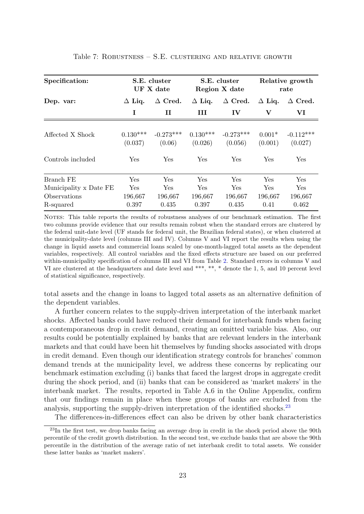<span id="page-27-0"></span>

| Specification:         | S.E. cluster<br>UF X date |                       | S.E. cluster<br>Region X date |                        | Relative growth<br>rate |                        |
|------------------------|---------------------------|-----------------------|-------------------------------|------------------------|-------------------------|------------------------|
| Dep. var:              | $\Delta$ Liq.             | $\Delta$ Cred.        | $\Delta$ Liq.                 | $\Delta$ Cred.         | $\Delta$ Liq.           | $\Delta$ Cred.         |
|                        | I                         | Н                     | Ш                             | $\bf{IV}$              | V                       | VI                     |
| Affected X Shock       | $0.130***$<br>(0.037)     | $-0.273***$<br>(0.06) | $0.130***$<br>(0.026)         | $-0.273***$<br>(0.056) | $0.001*$<br>(0.001)     | $-0.112***$<br>(0.027) |
| Controls included      | Yes                       | Yes                   | Yes                           | Yes                    | Yes                     | Yes                    |
| Branch FE              | Yes                       | Yes                   | Yes                           | <b>Yes</b>             | Yes                     | Yes                    |
| Municipality x Date FE | Yes                       | Yes                   | Yes                           | Yes                    | Yes                     | Yes                    |
| Observations           | 196,667                   | 196,667               | 196,667                       | 196,667                | 196,667                 | 196,667                |
| R-squared              | 0.397                     | 0.435                 | 0.397                         | 0.435                  | 0.41                    | 0.462                  |

#### Table 7: Robustness – S.E. clustering and relative growth

NOTES: This table reports the results of robustness analyses of our benchmark estimation. The first two columns provide evidence that our results remain robust when the standard errors are clustered by the federal unit-date level (UF stands for federal unit, the Brazilian federal states), or when clustered at the municipality-date level (columns III and IV). Columns V and VI report the results when using the change in liquid assets and commercial loans scaled by one-month-lagged total assets as the dependent variables, respectively. All control variables and the fixed effects structure are based on our preferred within-municipality specification of columns III and VI from Table [2.](#page-20-0) Standard errors in columns V and VI are clustered at the headquarters and date level and \*\*\*, \*\*, \* denote the 1, 5, and 10 percent level of statistical significance, respectively.

total assets and the change in loans to lagged total assets as an alternative definition of the dependent variables.

A further concern relates to the supply-driven interpretation of the interbank market shocks. Affected banks could have reduced their demand for interbank funds when facing a contemporaneous drop in credit demand, creating an omitted variable bias. Also, our results could be potentially explained by banks that are relevant lenders in the interbank markets and that could have been hit themselves by funding shocks associated with drops in credit demand. Even though our identification strategy controls for branches' common demand trends at the municipality level, we address these concerns by replicating our benchmark estimation excluding (i) banks that faced the largest drops in aggregate credit during the shock period, and (ii) banks that can be considered as 'market makers' in the interbank market. The results, reported in Table A.6 in the Online Appendix, confirm that our findings remain in place when these groups of banks are excluded from the analysis, supporting the supply-driven interpretation of the identified shocks.<sup>[23](#page--1-0)</sup>

The differences-in-differences effect can also be driven by other bank characteristics

 $^{23}$ In the first test, we drop banks facing an average drop in credit in the shock period above the 90th percentile of the credit growth distribution. In the second test, we exclude banks that are above the 90th percentile in the distribution of the average ratio of net interbank credit to total assets. We consider these latter banks as 'market makers'.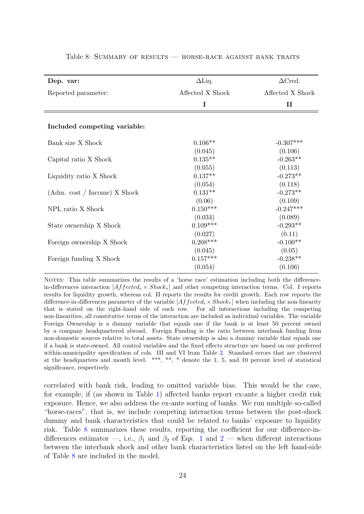| Dep. var:                    | $\Delta$ Liq.    | $\Delta C$ red.  |
|------------------------------|------------------|------------------|
| Reported parameter:          | Affected X Shock | Affected X Shock |
|                              | Ι                | $\mathbf{I}$     |
| Included competing variable: |                  |                  |
| Bank size X Shock            | $0.106**$        | $-0.307***$      |
|                              | (0.045)          | (0.106)          |
| Capital ratio X Shock        | $0.135**$        | $-0.263**$       |
|                              | (0.055)          | (0.113)          |
| Liquidity ratio X Shock      | $0.137**$        | $-0.273**$       |
|                              | (0.054)          | (0.118)          |
| (Adm. cost / Income) X Shock | $0.131**$        | $-0.273**$       |
|                              | (0.06)           | (0.109)          |
| NPL ratio X Shock            | $0.150***$       | $-0.247***$      |
|                              | (0.034)          | (0.089)          |
| State ownership X Shock      | $0.109***$       | $-0.293**$       |
|                              | (0.027)          | (0.11)           |
| Foreign ownership X Shock    | $0.208***$       | $-0.100**$       |
|                              | (0.045)          | (0.05)           |
| Foreign funding X Shock      | $0.157***$       | $-0.238**$       |
|                              | (0.054)          | (0.106)          |

#### <span id="page-28-0"></span>Table 8: Summary of results — horse-race against bank traits

NOTES: This table summarizes the results of a 'horse race' estimation including both the differencein-differences interaction  $Affected_i \times Shock_{\tau}$  and other competing interaction terms. Col. I reports results for liquidity growth, whereas col. II reports the results for credit growth. Each row reports the difference-in-differences parameter of the variable  $[Affected_i \times Shock_{\tau}]$  when including the non-linearity that is stated on the right-hand side of each row. For all interactions including the competing non-linearities, all constitutive terms of the interaction are included as individual variables. The variable Foreign Ownership is a dummy variable that equals one if the bank is at least 50 percent owned by a company headquartered abroad. Foreign Funding is the ratio between interbank funding from non-domestic sources relative to total assets. State ownership is also a dummy variable that equals one if a bank is state-owned. All control variables and the fixed effects structure are based on our preferred within-municipality specification of cols. III and VI from Table [2.](#page-20-0) Standard errors that are clustered at the headquarters and month level. \*\*\*, \*\*, \* denote the 1, 5, and 10 percent level of statistical significance, respectively.

correlated with bank risk, leading to omitted variable bias. This would be the case, for example, if (as shown in Table [1\)](#page-18-0) affected banks report ex-ante a higher credit risk exposure. Hence, we also address the ex-ante sorting of banks. We run multiple so-called "horse-races", that is, we include competing interaction terms between the post-shock dummy and bank characteristics that could be related to banks' exposure to liquidity risk. Table [8](#page-28-0) summarizes these results, reporting the coefficient for our difference-indifferences estimator —, i.e.,  $\beta_1$  $\beta_1$  and  $\beta_2$  $\beta_2$  of Eqs. 1 and 2 — when different interactions between the interbank shock and other bank characteristics listed on the left hand-side of Table [8](#page-28-0) are included in the model.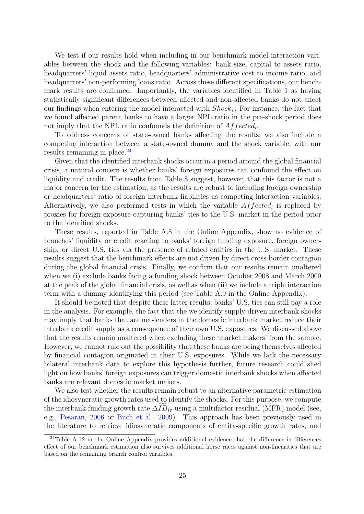We test if our results hold when including in our benchmark model interaction variables between the shock and the following variables: bank size, capital to assets ratio, headquarters' liquid assets ratio, headquarters' administrative cost to income ratio, and headquarters' non-performing loans ratio. Across these different specifications, our benchmark results are confirmed. Importantly, the variables identified in Table [1](#page-18-0) as having statistically significant differences between affected and non-affected banks do not affect our findings when entering the model interacted with  $Shock_{\tau}$ . For instance, the fact that we found affected parent banks to have a larger NPL ratio in the pre-shock period does not imply that the NPL ratio confounds the definition of  $Affected_i$ .

To address concerns of state-owned banks affecting the results, we also include a competing interaction between a state-owned dummy and the shock variable, with our results remaining in place.<sup>[24](#page--1-0)</sup>

Given that the identified interbank shocks occur in a period around the global financial crisis, a natural concern is whether banks' foreign exposures can confound the effect on liquidity and credit. The results from Table [8](#page-28-0) suggest, however, that this factor is not a major concern for the estimation, as the results are robust to including foreign ownership or headquarters' ratio of foreign interbank liabilities as competing interaction variables. Alternatively, we also performed tests in which the variable  $Affected_i$  is replaced by proxies for foreign exposure capturing banks' ties to the U.S. market in the period prior to the identified shocks.

These results, reported in Table A.8 in the Online Appendix, show no evidence of branches' liquidity or credit reacting to banks' foreign funding exposure, foreign ownership, or direct U.S. ties via the presence of related entities in the U.S. market. These results suggest that the benchmark effects are not driven by direct cross-border contagion during the global financial crisis. Finally, we confirm that our results remain unaltered when we (i) exclude banks facing a funding shock between October 2008 and March 2009 at the peak of the global financial crisis, as well as when (ii) we include a triple interaction term with a dummy identifying this period (see Table A.9 in the Online Appendix).

It should be noted that despite these latter results, banks' U.S. ties can still pay a role in the analysis. For example, the fact that the we identify supply-driven interbank shocks may imply that banks that are net-lenders in the domestic interbank market reduce their interbank credit supply as a consequence of their own U.S. exposures. We discussed above that the results remain unaltered when excluding these 'market makers' from the sample. However, we cannot rule out the possibility that these banks are being themselves affected by financial contagion originated in their U.S. exposures. While we lack the necessary bilateral interbank data to explore this hypothesis further, future research could shed light on how banks' foreign exposures can trigger domestic interbank shocks when affected banks are relevant domestic market makers.

We also test whether the results remain robust to an alternative parametric estimation of the idiosyncratic growth rates used to identify the shocks. For this purpose, we compute the interbank funding growth rate  $\Delta IB_{i\tau}$  using a multifactor residual (MFR) model (see, e.g., [Pesaran,](#page-38-10) [2006](#page-38-10) or [Buch et al.,](#page-35-12) [2009\)](#page-35-12). This approach has been previously used in the literature to retrieve idiosyncratic components of entity-specific growth rates, and

 $^{24}$ Table A.12 in the Online Appendix provides additional evidence that the difference-in-differences effect of our benchmark estimation also survives additional horse races against non-linearities that are based on the remaining branch control variables.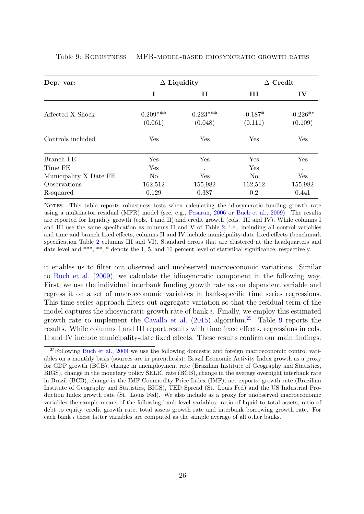| Dep. var:                                                      |                                         | $\Delta$ Liquidity                 |                             | Credit                             |  |
|----------------------------------------------------------------|-----------------------------------------|------------------------------------|-----------------------------|------------------------------------|--|
|                                                                | Ι                                       | 11                                 | Ш                           | IV                                 |  |
| Affected X Shock                                               | $0.209***$<br>(0.061)                   | $0.223***$<br>(0.048)              | $-0.187*$<br>(0.111)        | $-0.226**$<br>(0.109)              |  |
| Controls included                                              | Yes                                     | Yes                                | Yes                         | Yes                                |  |
| Branch FE<br>Time FE<br>Municipality X Date FE<br>Observations | Yes<br>Yes<br>N <sub>o</sub><br>162,512 | Yes<br>$\bullet$<br>Yes<br>155,982 | Yes<br>Yes<br>No<br>162,512 | Yes<br>$\bullet$<br>Yes<br>155,982 |  |
| R-squared                                                      | 0.129                                   | 0.387                              | 0.2                         | 0.441                              |  |

#### <span id="page-30-0"></span>Table 9: Robustness – MFR-model-based idiosyncratic growth rates

NOTES: This table reports robustness tests when calculating the idiosyncratic funding growth rate using a multifactor residual (MFR) model (see, e.g., [Pesaran,](#page-38-10) [2006](#page-38-10) or [Buch et al.,](#page-35-12) [2009\)](#page-35-12). The results are reported for liquidity growth (cols. I and II) and credit growth (cols. III and IV). While columns I and III use the same specification as columns II and V of Table [2,](#page-20-0) i.e., including all control variables and time and branch fixed effects, columns II and IV include municipality-date fixed effects (benchmark specification Table [2](#page-20-0) columns III and VI). Standard errors that are clustered at the headquarters and date level and \*\*\*, \*\*, \* denote the 1, 5, and 10 percent level of statistical significance, respectively.

it enables us to filter out observed and unobserved macroeconomic variations. Similar to [Buch et al.](#page-35-12) [\(2009\)](#page-35-12), we calculate the idiosyncratic component in the following way. First, we use the individual interbank funding growth rate as our dependent variable and regress it on a set of macroeconomic variables in bank-specific time series regressions. This time series approach filters out aggregate variation so that the residual term of the model captures the idiosyncratic growth rate of bank  $i$ . Finally, we employ this estimated growth rate to implement the [Cavallo et al.](#page-36-11) [\(2015\)](#page-36-11) algorithm.[25](#page--1-0) Table [9](#page-30-0) reports the results. While columns I and III report results with time fixed effects, regressions in cols. II and IV include municipality-date fixed effects. These results confirm our main findings.

 $^{25}$ Following [Buch et al.,](#page-35-12) [2009](#page-35-12) we use the following domestic and foreign macroeconomic control variables on a monthly basis (sources are in parenthesis): Brazil Economic Activity Index growth as a proxy for GDP growth (BCB), change in unemployment rate (Brazilian Institute of Geography and Statistics, BIGS), change in the monetary policy SELIC rate (BCB), change in the average overnight interbank rate in Brazil (BCB), change in the IMF Commodity Price Index (IMF), net exports' growth rate (Brazilian Institute of Geography and Statistics, BIGS), TED Spread (St. Louis Fed) and the US Industrial Production Index growth rate (St. Louis Fed). We also include as a proxy for unobserved macroeconomic variables the sample means of the following bank level variables: ratio of liquid to total assets, ratio of debt to equity, credit growth rate, total assets growth rate and interbank borrowing growth rate. For each bank i these latter variables are computed as the sample average of all other banks.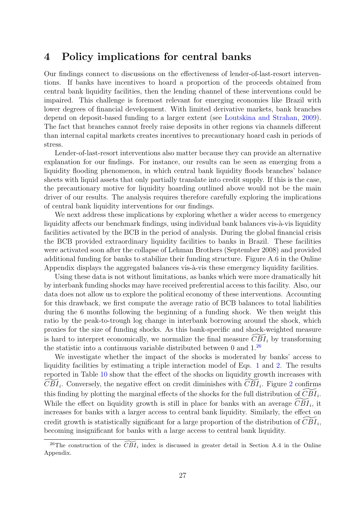## <span id="page-31-0"></span>4 Policy implications for central banks

Our findings connect to discussions on the effectiveness of lender-of-last-resort interventions. If banks have incentives to hoard a proportion of the proceeds obtained from central bank liquidity facilities, then the lending channel of these interventions could be impaired. This challenge is foremost relevant for emerging economies like Brazil with lower degrees of financial development. With limited derivative markets, bank branches depend on deposit-based funding to a larger extent (see [Loutskina and Strahan,](#page-38-12) [2009\)](#page-38-12). The fact that branches cannot freely raise deposits in other regions via channels different than internal capital markets creates incentives to precautionary hoard cash in periods of stress.

Lender-of-last-resort interventions also matter because they can provide an alternative explanation for our findings. For instance, our results can be seen as emerging from a liquidity flooding phenomenon, in which central bank liquidity floods branches' balance sheets with liquid assets that only partially translate into credit supply. If this is the case, the precautionary motive for liquidity hoarding outlined above would not be the main driver of our results. The analysis requires therefore carefully exploring the implications of central bank liquidity interventions for our findings.

We next address these implications by exploring whether a wider access to emergency liquidity affects our benchmark findings, using individual bank balances vis-à-vis liquidity facilities activated by the BCB in the period of analysis. During the global financial crisis the BCB provided extraordinary liquidity facilities to banks in Brazil. These facilities were activated soon after the collapse of Lehman Brothers (September 2008) and provided additional funding for banks to stabilize their funding structure. Figure A.6 in the Online Appendix displays the aggregated balances vis-à-vis these emergency liquidity facilities.

Using these data is not without limitations, as banks which were more dramatically hit by interbank funding shocks may have received preferential access to this facility. Also, our data does not allow us to explore the political economy of these interventions. Accounting for this drawback, we first compute the average ratio of BCB balances to total liabilities during the 6 months following the beginning of a funding shock. We then weight this ratio by the peak-to-trough log change in interbank borrowing around the shock, which proxies for the size of funding shocks. As this bank-specific and shock-weighted measure is hard to interpret economically, we normalize the final measure  $\overline{CBI}_i$  by transforming the statistic into a continuous variable distributed between 0 and  $1.^{26}$  $1.^{26}$  $1.^{26}$ 

We investigate whether the impact of the shocks is moderated by banks' access to liquidity facilities by estimating a triple interaction model of Eqs. [1](#page-11-0) and [2.](#page-12-0) The results reported in Table [10](#page-32-0) show that the effect of the shocks on liquidity growth increases with  $\widetilde{CBI}_i$ . Conversely, the negative effect on credit diminishes with  $\widetilde{CBI}_i$ . Figure [2](#page-33-0) confirms this finding by plotting the marginal effects of the shocks for the full distribution of  $\widetilde{CBI}_{i}$ . While the effect on liquidity growth is still in place for banks with an average  $\widetilde{CBI}_i$ , it increases for banks with a larger access to central bank liquidity. Similarly, the effect on credit growth is statistically significant for a large proportion of the distribution of  $\widetilde{CBI}_{i}$ , becoming insignificant for banks with a large access to central bank liquidity.

<sup>&</sup>lt;sup>26</sup>The construction of the  $\widetilde{CBI}_i$  index is discussed in greater detail in Section A.4 in the Online Appendix.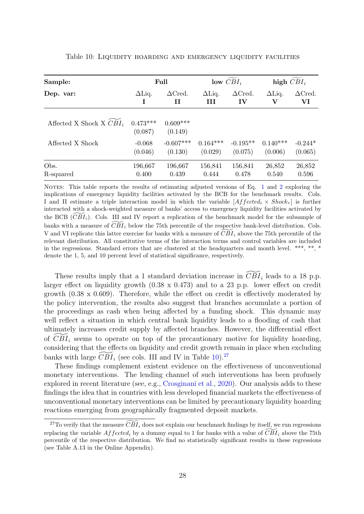| Sample:                               | Full                  |                       | low $CBI_i$   |                 | high $CBI_i$  |                 |
|---------------------------------------|-----------------------|-----------------------|---------------|-----------------|---------------|-----------------|
| Dep. var:                             | $\Delta$ Liq.         | $\Delta C$ red.       | $\Delta$ Liq. | $\Delta C$ red. | $\Delta$ Liq. | $\Delta C$ red. |
|                                       | Ι                     | Н                     | III           | $\mathbf{IV}$   | V             | VI              |
| Affected X Shock X $C\overline{B}I_i$ | $0.473***$<br>(0.087) | $0.609***$<br>(0.149) |               |                 |               |                 |
| Affected X Shock                      | $-0.068$              | $-0.607***$           | $0.164***$    | $-0.195**$      | $0.140***$    | $-0.244*$       |
|                                       | (0.046)               | (0.130)               | (0.029)       | (0.075)         | (0.006)       | (0.065)         |
| Obs.                                  | 196,667               | 196,667               | 156,841       | 156,841         | 26,852        | 26,852          |
| R-squared                             | 0.400                 | 0.439                 | 0.444         | 0.478           | 0.540         | 0.596           |

<span id="page-32-0"></span>Table 10: Liquidity hoarding and emergency liquidity facilities

NOTES: This table reports the results of estimating adjusted versions of Eq. [1](#page-11-0) and [2](#page-12-0) exploring the implications of emergency liquidity facilities activated by the BCB for the benchmark results. Cols. I and II estimate a triple interaction model in which the variable  $[Affected_i \times Shock_{\tau}]$  is further interacted with a shock-weighted measure of banks' access to emergency liquidity facilities activated by the BCB  $(\overline{CBI}_i)$ . Cols. III and IV report a replication of the benchmark model for the subsample of banks with a measure of  $\widetilde{CBI}_i$  below the 75th percentile of the respective bank-level distribution. Cols. V and VI replicate this latter exercise for banks with a measure of  $\overline{CBI}_i$  above the 75th percentile of the relevant distribution. All constitutive terms of the interaction terms and control variables are included in the regressions. Standard errors that are clustered at the headquarters and month level. \*\*\*, \*\*, \* denote the 1, 5, and 10 percent level of statistical significance, respectively.

These results imply that a 1 standard deviation increase in  $\widetilde{CBI}_i$  leads to a 18 p.p. larger effect on liquidity growth (0.38 x 0.473) and to a 23 p.p. lower effect on credit growth (0.38 x 0.609). Therefore, while the effect on credit is effectively moderated by the policy intervention, the results also suggest that branches accumulate a portion of the proceedings as cash when being affected by a funding shock. This dynamic may well reflect a situation in which central bank liquidity leads to a flooding of cash that ultimately increases credit supply by affected branches. However, the differential effect of  $\overline{CBI}_i$  seems to operate on top of the precautionary motive for liquidity hoarding, considering that the effects on liquidity and credit growth remain in place when excluding banks with large  $CBI_i$  (see cols. III and IV in Table [10\)](#page-32-0).<sup>[27](#page--1-0)</sup>

These findings complement existent evidence on the effectiveness of unconventional monetary interventions. The lending channel of such interventions has been profusely explored in recent literature (see, e.g., [Crosginani et al.,](#page-36-7) [2020\)](#page-36-7). Our analysis adds to these findings the idea that in countries with less developed financial markets the effectiveness of unconventional monetary interventions can be limited by precautionary liquidity hoarding reactions emerging from geographically fragmented deposit markets.

<sup>&</sup>lt;sup>27</sup>To verify that the measure  $\overline{CBI}_i$  does not explain our benchmark findings by itself, we run regressions replacing the variable  $Afected_i$  by a dummy equal to 1 for banks with a value of  $\overline{CBI}_i$  above the 75th percentile of the respective distribution. We find no statistically significant results in these regressions (see Table A.13 in the Online Appendix).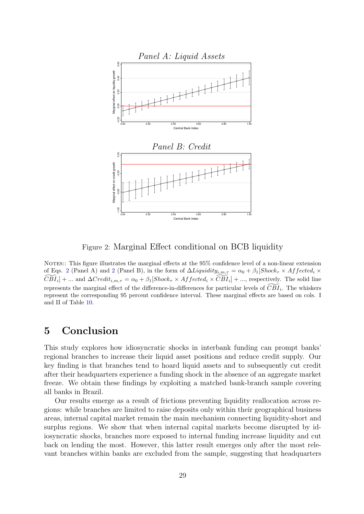<span id="page-33-0"></span>

Figure 2: Marginal Effect conditional on BCB liquidity

NOTES:: This figure illustrates the marginal effects at the 95% confidence level of a non-linear extension of Eqs. [2](#page-12-0) (Panel A) and 2 (Panel B), in the form of  $\Delta Liquidity_{i,m,\tau} = \alpha_0 + \beta_1 [Shock_{\tau} \times Affected_i \times$  $\widetilde{CBI}_i$  + ... and  $\Delta Credit_{i,m,\tau} = \alpha_0 + \beta_1 [Shock_{\tau} \times Affected_i \times \widetilde{CBI}_i] + ...$ , respectively. The solid line represents the marginal effect of the difference-in-differences for particular levels of  $\widetilde{CBI}_i$ . The whiskers represent the corresponding 95 percent confidence interval. These marginal effects are based on cols. I and II of Table [10.](#page-32-0)

# 5 Conclusion

This study explores how idiosyncratic shocks in interbank funding can prompt banks' regional branches to increase their liquid asset positions and reduce credit supply. Our key finding is that branches tend to hoard liquid assets and to subsequently cut credit after their headquarters experience a funding shock in the absence of an aggregate market freeze. We obtain these findings by exploiting a matched bank-branch sample covering all banks in Brazil.

Our results emerge as a result of frictions preventing liquidity reallocation across regions: while branches are limited to raise deposits only within their geographical business areas, internal capital market remain the main mechanism connecting liquidity-short and surplus regions. We show that when internal capital markets become disrupted by idiosyncratic shocks, branches more exposed to internal funding increase liquidity and cut back on lending the most. However, this latter result emerges only after the most relevant branches within banks are excluded from the sample, suggesting that headquarters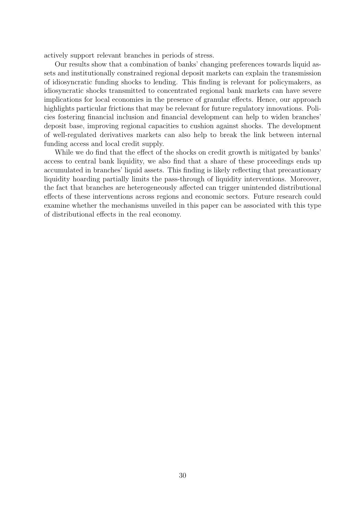actively support relevant branches in periods of stress.

Our results show that a combination of banks' changing preferences towards liquid assets and institutionally constrained regional deposit markets can explain the transmission of idiosyncratic funding shocks to lending. This finding is relevant for policymakers, as idiosyncratic shocks transmitted to concentrated regional bank markets can have severe implications for local economies in the presence of granular effects. Hence, our approach highlights particular frictions that may be relevant for future regulatory innovations. Policies fostering financial inclusion and financial development can help to widen branches' deposit base, improving regional capacities to cushion against shocks. The development of well-regulated derivatives markets can also help to break the link between internal funding access and local credit supply.

While we do find that the effect of the shocks on credit growth is mitigated by banks' access to central bank liquidity, we also find that a share of these proceedings ends up accumulated in branches' liquid assets. This finding is likely reflecting that precautionary liquidity hoarding partially limits the pass-through of liquidity interventions. Moreover, the fact that branches are heterogeneously affected can trigger unintended distributional effects of these interventions across regions and economic sectors. Future research could examine whether the mechanisms unveiled in this paper can be associated with this type of distributional effects in the real economy.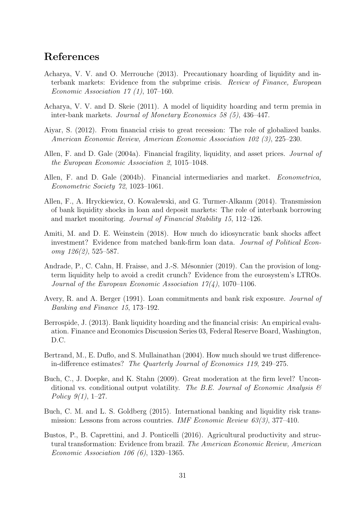# References

- <span id="page-35-2"></span>Acharya, V. V. and O. Merrouche (2013). Precautionary hoarding of liquidity and interbank markets: Evidence from the subprime crisis. Review of Finance, European Economic Association 17  $(1)$ , 107-160.
- <span id="page-35-1"></span>Acharya, V. V. and D. Skeie (2011). A model of liquidity hoarding and term premia in inter-bank markets. Journal of Monetary Economics 58 (5), 436–447.
- <span id="page-35-7"></span>Aiyar, S. (2012). From financial crisis to great recession: The role of globalized banks. American Economic Review, American Economic Association 102 (3), 225–230.
- <span id="page-35-4"></span>Allen, F. and D. Gale (2004a). Financial fragility, liquidity, and asset prices. Journal of the European Economic Association 2, 1015–1048.
- <span id="page-35-11"></span>Allen, F. and D. Gale (2004b). Financial intermediaries and market. Econometrica, Econometric Society 72, 1023–1061.
- <span id="page-35-6"></span>Allen, F., A. Hryckiewicz, O. Kowalewski, and G. Turmer-Alkanm (2014). Transmission of bank liquidity shocks in loan and deposit markets: The role of interbank borrowing and market monitoring. Journal of Financial Stability 15, 112–126.
- <span id="page-35-3"></span>Amiti, M. and D. E. Weinstein (2018). How much do idiosyncratic bank shocks affect investment? Evidence from matched bank-firm loan data. Journal of Political Economy 126(2), 525–587.
- <span id="page-35-10"></span>Andrade, P., C. Cahn, H. Fraisse, and J.-S. Mésonnier (2019). Can the provision of longterm liquidity help to avoid a credit crunch? Evidence from the eurosystem's LTROs. Journal of the European Economic Association  $17(4)$ , 1070–1106.
- <span id="page-35-0"></span>Avery, R. and A. Berger (1991). Loan commitments and bank risk exposure. Journal of Banking and Finance 15, 173–192.
- <span id="page-35-5"></span>Berrospide, J. (2013). Bank liquidity hoarding and the financial crisis: An empirical evaluation. Finance and Economics Discussion Series 03, Federal Reserve Board, Washington, D.C.
- <span id="page-35-13"></span>Bertrand, M., E. Duflo, and S. Mullainathan (2004). How much should we trust differencein-difference estimates? The Quarterly Journal of Economics 119, 249–275.
- <span id="page-35-12"></span>Buch, C., J. Doepke, and K. Stahn (2009). Great moderation at the firm level? Unconditional vs. conditional output volatility. The B.E. Journal of Economic Analysis  $\mathcal C$ Policy  $9(1)$ , 1–27.
- <span id="page-35-8"></span>Buch, C. M. and L. S. Goldberg (2015). International banking and liquidity risk transmission: Lessons from across countries. IMF Economic Review 63(3), 377-410.
- <span id="page-35-9"></span>Bustos, P., B. Caprettini, and J. Ponticelli (2016). Agricultural productivity and structural transformation: Evidence from brazil. The American Economic Review, American Economic Association 106 (6), 1320–1365.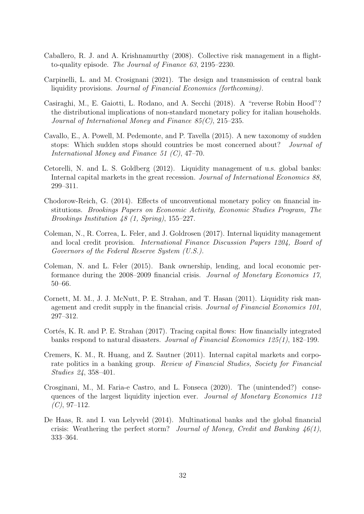- <span id="page-36-0"></span>Caballero, R. J. and A. Krishnamurthy (2008). Collective risk management in a flightto-quality episode. The Journal of Finance 63, 2195–2230.
- <span id="page-36-8"></span>Carpinelli, L. and M. Crosignani (2021). The design and transmission of central bank liquidity provisions. Journal of Financial Economics (forthcoming).
- <span id="page-36-6"></span>Casiraghi, M., E. Gaiotti, L. Rodano, and A. Secchi (2018). A "reverse Robin Hood"? the distributional implications of non-standard monetary policy for italian households. Journal of International Money and Finance 85(C), 215–235.
- <span id="page-36-11"></span>Cavallo, E., A. Powell, M. Pedemonte, and P. Tavella (2015). A new taxonomy of sudden stops: Which sudden stops should countries be most concerned about? Journal of International Money and Finance 51 (C), 47–70.
- <span id="page-36-12"></span>Cetorelli, N. and L. S. Goldberg (2012). Liquidity management of u.s. global banks: Internal capital markets in the great recession. Journal of International Economics 88, 299–311.
- <span id="page-36-5"></span>Chodorow-Reich, G. (2014). Effects of unconventional monetary policy on financial institutions. Brookings Papers on Economic Activity, Economic Studies Program, The Brookings Institution 48 (1, Spring), 155–227.
- <span id="page-36-10"></span>Coleman, N., R. Correa, L. Feler, and J. Goldrosen (2017). Internal liquidity management and local credit provision. International Finance Discussion Papers 1204, Board of Governors of the Federal Reserve System (U.S.).
- <span id="page-36-9"></span>Coleman, N. and L. Feler (2015). Bank ownership, lending, and local economic performance during the 2008–2009 financial crisis. Journal of Monetary Economics 17, 50–66.
- <span id="page-36-3"></span>Cornett, M. M., J. J. McNutt, P. E. Strahan, and T. Hasan (2011). Liquidity risk management and credit supply in the financial crisis. Journal of Financial Economics 101, 297–312.
- <span id="page-36-1"></span>Cortés, K. R. and P. E. Strahan (2017). Tracing capital flows: How financially integrated banks respond to natural disasters. Journal of Financial Economics 125(1), 182–199.
- <span id="page-36-2"></span>Cremers, K. M., R. Huang, and Z. Sautner (2011). Internal capital markets and corporate politics in a banking group. Review of Financial Studies, Society for Financial Studies 24, 358–401.
- <span id="page-36-7"></span>Crosginani, M., M. Faria-e Castro, and L. Fonseca (2020). The (unintended?) consequences of the largest liquidity injection ever. Journal of Monetary Economics 112  $(C)$ , 97–112.
- <span id="page-36-4"></span>De Haas, R. and I. van Lelyveld (2014). Multinational banks and the global financial crisis: Weathering the perfect storm? Journal of Money, Credit and Banking  $46(1)$ , 333–364.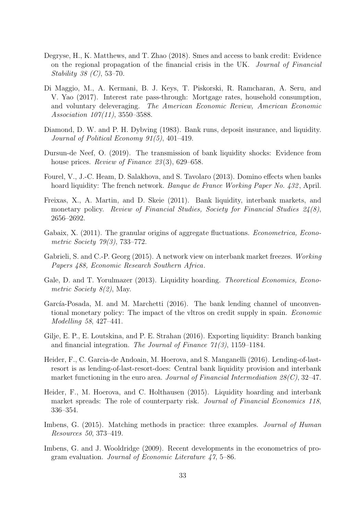- <span id="page-37-14"></span>Degryse, H., K. Matthews, and T. Zhao (2018). Smes and access to bank credit: Evidence on the regional propagation of the financial crisis in the UK. Journal of Financial Stability 38 (C), 53–70.
- <span id="page-37-9"></span>Di Maggio, M., A. Kermani, B. J. Keys, T. Piskorski, R. Ramcharan, A. Seru, and V. Yao (2017). Interest rate pass-through: Mortgage rates, household consumption, and voluntary deleveraging. The American Economic Review, American Economic Association 107(11), 3550–3588.
- <span id="page-37-0"></span>Diamond, D. W. and P. H. Dybving (1983). Bank runs, deposit insurance, and liquidity. Journal of Political Economy 91(5), 401–419.
- <span id="page-37-5"></span>Dursun-de Neef, O. (2019). The transmission of bank liquidity shocks: Evidence from house prices. *Review of Finance* 23(3), 629–658.
- <span id="page-37-7"></span>Fourel, V., J.-C. Heam, D. Salakhova, and S. Tavolaro (2013). Domino effects when banks hoard liquidity: The french network. Banque de France Working Paper No. 432, April.
- <span id="page-37-2"></span>Freixas, X., A. Martin, and D. Skeie (2011). Bank liquidity, interbank markets, and monetary policy. Review of Financial Studies, Society for Financial Studies 24(8), 2656–2692.
- <span id="page-37-4"></span>Gabaix, X. (2011). The granular origins of aggregate fluctuations. *Econometrica*, *Econo*metric Society 79(3), 733–772.
- <span id="page-37-6"></span>Gabrieli, S. and C.-P. Georg (2015). A network view on interbank market freezes. Working Papers 488, Economic Research Southern Africa.
- <span id="page-37-1"></span>Gale, D. and T. Yorulmazer (2013). Liquidity hoarding. *Theoretical Economics*, *Econo*metric Society 8(2), May.
- <span id="page-37-10"></span>García-Posada, M. and M. Marchetti (2016). The bank lending channel of unconventional monetary policy: The impact of the vltros on credit supply in spain. Economic Modelling 58, 427–441.
- <span id="page-37-8"></span>Gilje, E. P., E. Loutskina, and P. E. Strahan (2016). Exporting liquidity: Branch banking and financial integration. The Journal of Finance 71(3), 1159–1184.
- <span id="page-37-11"></span>Heider, F., C. Garcia-de Andoain, M. Hoerova, and S. Manganelli (2016). Lending-of-lastresort is as lending-of-last-resort-does: Central bank liquidity provision and interbank market functioning in the euro area. Journal of Financial Intermediation  $28(C)$ , 32-47.
- <span id="page-37-3"></span>Heider, F., M. Hoerova, and C. Holthausen (2015). Liquidity hoarding and interbank market spreads: The role of counterparty risk. Journal of Financial Economics 118, 336–354.
- <span id="page-37-13"></span>Imbens, G. (2015). Matching methods in practice: three examples. *Journal of Human* Resources 50, 373–419.
- <span id="page-37-12"></span>Imbens, G. and J. Wooldridge (2009). Recent developments in the econometrics of program evaluation. Journal of Economic Literature 47, 5–86.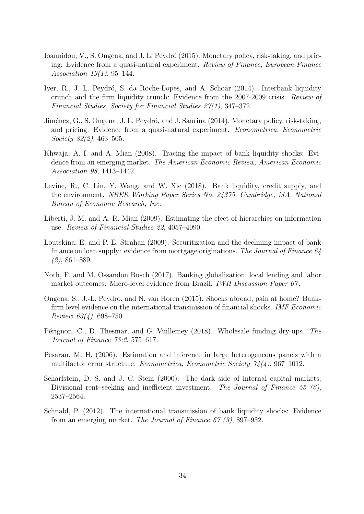- <span id="page-38-6"></span>Ioannidou, V., S. Ongena, and J. L. Peydró (2015). Monetary policy, risk-taking, and pricing: Evidence from a quasi-natural experiment. Review of Finance, European Finance Association 19(1), 95–144.
- <span id="page-38-1"></span>Iyer, R., J. L. Peydró, S. da Roche-Lopes, and A. Schoar (2014). Interbank liquidity crunch and the firm liquidity crunch: Evidence from the 2007-2009 crisis. Review of Financial Studies, Society for Financial Studies 27(1), 347–372.
- <span id="page-38-5"></span>Jiménez, G., S. Ongena, J. L. Peydró, and J. Saurina (2014). Monetary policy, risk-taking, and pricing: Evidence from a quasi-natural experiment. Econometrica, Econometric Society 82(2), 463–505.
- <span id="page-38-7"></span>Khwaja, A. I. and A. Mian (2008). Tracing the impact of bank liquidity shocks: Evidence from an emerging market. The American Economic Review, American Economic Association 98, 1413–1442.
- <span id="page-38-4"></span>Levine, R., C. Lin, Y. Wang, and W. Xie (2018). Bank liquidity, credit supply, and the environment. NBER Working Paper Series No. 24375, Cambridge, MA. National Bureau of Economic Research, Inc.
- <span id="page-38-0"></span>Liberti, J. M. and A. R. Mian (2009). Estimating the efect of hierarchies on information use. Review of Financial Studies 22, 4057–4090.
- <span id="page-38-12"></span>Loutskina, E. and P. E. Strahan (2009). Securitization and the declining impact of bank finance on loan supply: evidence from mortgage originations. The Journal of Finance 64 (2), 861–889.
- <span id="page-38-9"></span>Noth, F. and M. Ossandon Busch (2017). Banking globalization, local lending and labor market outcomes: Micro-level evidence from Brazil. *IWH Discussion Paper 07*.
- <span id="page-38-2"></span>Ongena, S., J.-L. Peydro, and N. van Horen (2015). Shocks abroad, pain at home? Bankfirm level evidence on the international transmission of financial shocks. *IMF Economic* Review  $63(4)$ , 698-750.
- <span id="page-38-3"></span>Pérignon, C., D. Thesmar, and G. Vuillemey (2018). Wholesale funding dry-ups. The Journal of Finance 73:2, 575–617.
- <span id="page-38-10"></span>Pesaran, M. H. (2006). Estimation and inference in large heterogeneous panels with a multifactor error structure. Econometrica, Econometric Society 74(4), 967–1012.
- <span id="page-38-11"></span>Scharfstein, D. S. and J. C. Stein (2000). The dark side of internal capital markets: Divisional rent–seeking and inefficient investment. The Journal of Finance 55  $(6)$ , 2537–2564.
- <span id="page-38-8"></span>Schnabl, P. (2012). The international transmission of bank liquidity shocks: Evidence from an emerging market. The Journal of Finance 67 (3), 897–932.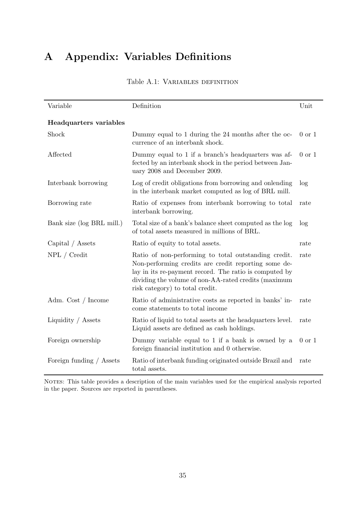# <span id="page-39-0"></span>A Appendix: Variables Definitions

| Variable                  | Definition                                                                                                                                                                                                                                                        | Unit              |
|---------------------------|-------------------------------------------------------------------------------------------------------------------------------------------------------------------------------------------------------------------------------------------------------------------|-------------------|
| Headquarters variables    |                                                                                                                                                                                                                                                                   |                   |
| Shock                     | Dummy equal to 1 during the 24 months after the oc-<br>currence of an interbank shock.                                                                                                                                                                            | $0 \text{ or } 1$ |
| Affected                  | Dummy equal to 1 if a branch's headquarters was af-<br>fected by an interbank shock in the period between Jan-<br>uary 2008 and December 2009.                                                                                                                    | $0 \text{ or } 1$ |
| Interbank borrowing       | Log of credit obligations from borrowing and onlending<br>in the interbank market computed as log of BRL mill.                                                                                                                                                    | log               |
| Borrowing rate            | Ratio of expenses from interbank borrowing to total<br>interbank borrowing.                                                                                                                                                                                       | rate              |
| Bank size (log BRL mill.) | Total size of a bank's balance sheet computed as the log<br>of total assets measured in millions of BRL.                                                                                                                                                          | log               |
| Capital / Assets          | Ratio of equity to total assets.                                                                                                                                                                                                                                  | rate              |
| NPL / Credit              | Ratio of non-performing to total outstanding credit.<br>Non-performing credits are credit reporting some de-<br>lay in its re-payment record. The ratio is computed by<br>dividing the volume of non-AA-rated credits (maximum<br>risk category) to total credit. | rate              |
| Adm. Cost / Income        | Ratio of administrative costs as reported in banks' in-<br>come statements to total income                                                                                                                                                                        | rate              |
| Liquidity / Assets        | Ratio of liquid to total assets at the headquarters level.<br>Liquid assets are defined as cash holdings.                                                                                                                                                         | rate              |
| Foreign ownership         | Dummy variable equal to 1 if a bank is owned by a<br>foreign financial institution and 0 otherwise.                                                                                                                                                               | $0$ or $1$        |
| Foreign funding / Assets  | Ratio of interbank funding originated outside Brazil and<br>total assets.                                                                                                                                                                                         | rate              |

Table A.1: Variables definition

NOTES: This table provides a description of the main variables used for the empirical analysis reported in the paper. Sources are reported in parentheses.